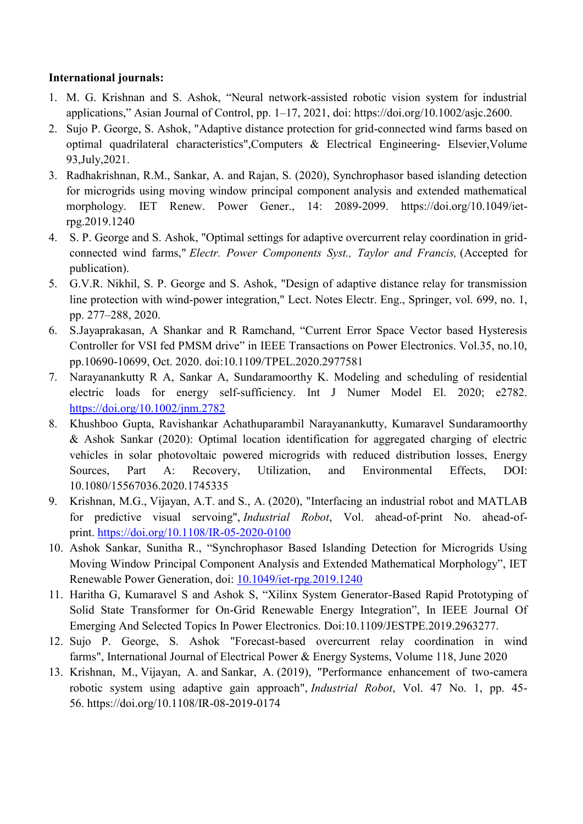## **International journals:**

- 1. M. G. Krishnan and S. Ashok, "Neural network-assisted robotic vision system for industrial applications," Asian Journal of Control, pp. 1–17, 2021, doi: https://doi.org/10.1002/asjc.2600.
- 2. Sujo P. George, S. Ashok, "Adaptive distance protection for grid-connected wind farms based on optimal quadrilateral characteristics",Computers & Electrical Engineering- Elsevier,Volume 93,July,2021.
- 3. Radhakrishnan, R.M., Sankar, A. and Rajan, S. (2020), Synchrophasor based islanding detection for microgrids using moving window principal component analysis and extended mathematical morphology. IET Renew. Power Gener., 14: 2089-2099. https://doi.org/10.1049/ietrpg.2019.1240
- 4. S. P. George and S. Ashok, "Optimal settings for adaptive overcurrent relay coordination in gridconnected wind farms," *Electr. Power Components Syst., Taylor and Francis,* (Accepted for publication).
- 5. G.V.R. Nikhil, S. P. George and S. Ashok, "Design of adaptive distance relay for transmission line protection with wind-power integration," Lect. Notes Electr. Eng., Springer, vol. 699, no. 1, pp. 277–288, 2020.
- 6. S.Jayaprakasan, A Shankar and R Ramchand, "Current Error Space Vector based Hysteresis Controller for VSI fed PMSM drive" in IEEE Transactions on Power Electronics. Vol.35, no.10, pp.10690-10699, Oct. 2020. doi:10.1109/TPEL.2020.2977581
- 7. Narayanankutty R A, Sankar A, Sundaramoorthy K. Modeling and scheduling of residential electric loads for energy self-sufficiency. Int J Numer Model El. 2020; e2782. <https://doi.org/10.1002/jnm.2782>
- 8. Khushboo Gupta, Ravishankar Achathuparambil Narayanankutty, Kumaravel Sundaramoorthy & Ashok Sankar (2020): Optimal location identification for aggregated charging of electric vehicles in solar photovoltaic powered microgrids with reduced distribution losses, Energy Sources, Part A: Recovery, Utilization, and Environmental Effects, DOI: 10.1080/15567036.2020.1745335
- 9. Krishnan, M.G., Vijayan, A.T. and S., A. (2020), "Interfacing an industrial robot and MATLAB for predictive visual servoing", *Industrial Robot*, Vol. ahead-of-print No. ahead-ofprint. <https://doi.org/10.1108/IR-05-2020-0100>
- 10. Ashok Sankar, Sunitha R., "Synchrophasor Based Islanding Detection for Microgrids Using Moving Window Principal Component Analysis and Extended Mathematical Morphology", IET Renewable Power Generation, doi: [10.1049/iet-rpg.2019.1240](https://doi.org/10.1049/iet-rpg.2019.1240)
- 11. Haritha G, Kumaravel S and Ashok S, "Xilinx System Generator-Based Rapid Prototyping of Solid State Transformer for On-Grid Renewable Energy Integration", In IEEE Journal Of Emerging And Selected Topics In Power Electronics. Doi:10.1109/JESTPE.2019.2963277.
- 12. Sujo P. George, S. Ashok "Forecast-based overcurrent relay coordination in wind farms", International Journal of Electrical Power & Energy Systems, Volume 118, June 2020
- 13. Krishnan, M., Vijayan, A. and Sankar, A. (2019), "Performance enhancement of two-camera robotic system using adaptive gain approach", *Industrial Robot*, Vol. 47 No. 1, pp. 45- 56. https://doi.org/10.1108/IR-08-2019-0174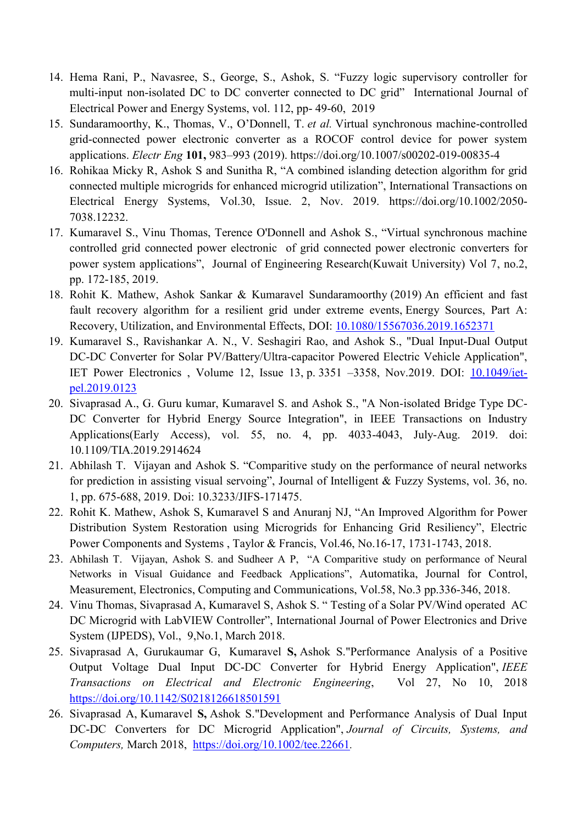- 14. Hema Rani, P., Navasree, S., George, S., Ashok, S. "Fuzzy logic supervisory controller for multi-input non-isolated DC to DC converter connected to DC grid" International Journal of Electrical Power and Energy Systems, vol. 112, pp- 49-60, 2019
- 15. Sundaramoorthy, K., Thomas, V., O'Donnell, T. *et al.* Virtual synchronous machine-controlled grid-connected power electronic converter as a ROCOF control device for power system applications. *Electr Eng* **101,** 983–993 (2019). https://doi.org/10.1007/s00202-019-00835-4
- 16. Rohikaa Micky R, Ashok S and Sunitha R, "A combined islanding detection algorithm for grid connected multiple microgrids for enhanced microgrid utilization", International Transactions on Electrical Energy Systems, Vol.30, Issue. 2, Nov. 2019. https://doi.org/10.1002/2050- 7038.12232.
- 17. Kumaravel S., Vinu Thomas, Terence O'Donnell and Ashok S., "Virtual synchronous machine controlled grid connected power electronic of grid connected power electronic converters for power system applications", Journal of Engineering Research(Kuwait University) Vol 7, no.2, pp. 172-185, 2019.
- 18. Rohit K. Mathew, Ashok Sankar & Kumaravel Sundaramoorthy (2019) An efficient and fast fault recovery algorithm for a resilient grid under extreme events, Energy Sources, Part A: Recovery, Utilization, and Environmental Effects, DOI: [10.1080/15567036.2019.1652371](https://doi.org/10.1080/15567036.2019.1652371)
- 19. Kumaravel S., Ravishankar A. N., V. Seshagiri Rao, and Ashok S., "Dual Input-Dual Output DC-DC Converter for Solar PV/Battery/Ultra-capacitor Powered Electric Vehicle Application", IET Power Electronics , Volume 12, Issue 13, p. 3351 –3358, Nov.2019. DOI: [10.1049/iet](https://doi.org/10.1049/iet-pel.2019.0123)[pel.2019.0123](https://doi.org/10.1049/iet-pel.2019.0123)
- 20. Sivaprasad A., G. Guru kumar, Kumaravel S. and Ashok S., "A Non-isolated Bridge Type DC-DC Converter for Hybrid Energy Source Integration", in IEEE Transactions on Industry Applications(Early Access), vol. 55, no. 4, pp. 4033-4043, July-Aug. 2019. doi: 10.1109/TIA.2019.2914624
- 21. Abhilash T. Vijayan and Ashok S. "Comparitive study on the performance of neural networks for prediction in assisting visual servoing", Journal of Intelligent  $&$  Fuzzy Systems, vol. 36, no. 1, pp. 675-688, 2019. Doi: 10.3233/JIFS-171475.
- 22. Rohit K. Mathew, Ashok S, Kumaravel S and Anuranj NJ, "An Improved Algorithm for Power Distribution System Restoration using Microgrids for Enhancing Grid Resiliency", Electric Power Components and Systems , Taylor & Francis, Vol.46, No.16-17, 1731-1743, 2018.
- 23. Abhilash T. Vijayan, Ashok S. and Sudheer A P, "A Comparitive study on performance of Neural Networks in Visual Guidance and Feedback Applications", Automatika, Journal for Control, Measurement, Electronics, Computing and Communications, Vol.58, No.3 pp.336-346, 2018.
- 24. Vinu Thomas, Sivaprasad A, Kumaravel S, Ashok S. "Testing of a Solar PV/Wind operated AC DC Microgrid with LabVIEW Controller", International Journal of Power Electronics and Drive System (IJPEDS), Vol., 9,No.1, March 2018.
- 25. Sivaprasad A, Gurukaumar G, Kumaravel **S,** Ashok S."Performance Analysis of a Positive Output Voltage Dual Input DC-DC Converter for Hybrid Energy Application", *IEEE Transactions on Electrical and Electronic Engineering*, Vol 27, No 10, 2018 <https://doi.org/10.1142/S0218126618501591>
- 26. Sivaprasad A, Kumaravel **S,** Ashok S."Development and Performance Analysis of Dual Input DC-DC Converters for DC Microgrid Application", *Journal of Circuits, Systems, and Computers,* March 2018, <https://doi.org/10.1002/tee.22661>*.*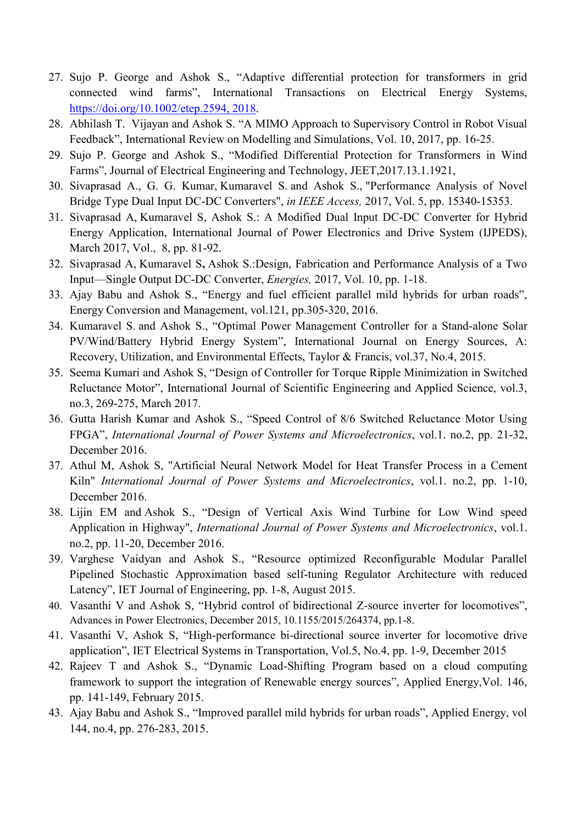- 27. Sujo P. George and Ashok S., "Adaptive differential protection for transformers in grid connected wind farms", International Transactions on Electrical Energy Systems, [https://doi.org/10.1002/etep.2594,](https://doi.org/10.1002/etep.2594) 2018.
- 28. Abhilash T. Vijayan and Ashok S. "A MIMO Approach to Supervisory Control in Robot Visual Feedback", International Review on Modelling and Simulations, Vol. 10, 2017, pp. 16-25.
- 29. Sujo P. George and Ashok S., "Modified Differential Protection for Transformers in Wind Farms", Journal of Electrical Engineering and Technology, JEET, 2017.13.1.1921,
- 30. Sivaprasad A., G. G. Kumar, Kumaravel S. and Ashok S., "Performance Analysis of Novel Bridge Type Dual Input DC-DC Converters", *in IEEE Access,* 2017, Vol. 5, pp. 15340-15353.
- 31. Sivaprasad A, Kumaravel S, Ashok S.: A Modified Dual Input DC-DC Converter for Hybrid Energy Application, International Journal of Power Electronics and Drive System (IJPEDS), March 2017, Vol., 8, pp. 81-92.
- 32. Sivaprasad A, Kumaravel S**,** Ashok S.:Design, Fabrication and Performance Analysis of a Two Input—Single Output DC-DC Converter, *Energies,* 2017, Vol. 10, pp. 1-18.
- 33. Ajay Babu and Ashok S., "Energy and fuel efficient parallel mild hybrids for urban roads", Energy Conversion and Management, vol.121, pp.305-320, 2016.
- 34. Kumaravel S. and Ashok S., "Optimal Power Management Controller for a Stand-alone Solar PV/Wind/Battery Hybrid Energy System", International Journal on Energy Sources, A: Recovery, Utilization, and Environmental Effects, Taylor & Francis, vol.37, No.4, 2015.
- 35. Seema Kumari and Ashok S, "Design of Controller for Torque Ripple Minimization in Switched Reluctance Motor", International Journal of Scientific Engineering and Applied Science, vol.3, no.3, 269-275, March 2017.
- 36. Gutta Harish Kumar and Ashok S., "Speed Control of 8/6 Switched Reluctance Motor Using FPGA‖, *International Journal of Power Systems and Microelectronics*, vol.1. no.2, pp. 21-32, December 2016.
- 37. Athul M, Ashok S, "Artificial Neural Network Model for Heat Transfer Process in a Cement Kiln" *International Journal of Power Systems and Microelectronics*, vol.1. no.2, pp. 1-10, December 2016.
- 38. Lijin EM and Ashok S., "Design of Vertical Axis Wind Turbine for Low Wind speed Application in Highway", *International Journal of Power Systems and Microelectronics*, vol.1. no.2, pp. 11-20, December 2016.
- 39. Varghese Vaidyan and Ashok S., "Resource optimized Reconfigurable Modular Parallel Pipelined Stochastic Approximation based self-tuning Regulator Architecture with reduced Latency", IET Journal of Engineering, pp. 1-8, August 2015.
- 40. Vasanthi V and Ashok S, "Hybrid control of bidirectional Z-source inverter for locomotives". Advances in Power Electronics, December 2015, 10.1155/2015/264374, pp.1-8.
- 41. Vasanthi V, Ashok S, "High-performance bi-directional source inverter for locomotive drive application", IET Electrical Systems in Transportation, Vol.5, No.4, pp. 1-9, December 2015
- 42. Rajeev T and Ashok S., "Dynamic Load-Shifting Program based on a cloud computing framework to support the integration of Renewable energy sources", Applied Energy, Vol. 146, pp. 141-149, February 2015.
- 43. Ajay Babu and Ashok S., "Improved parallel mild hybrids for urban roads", Applied Energy, vol 144, no.4, pp. 276-283, 2015.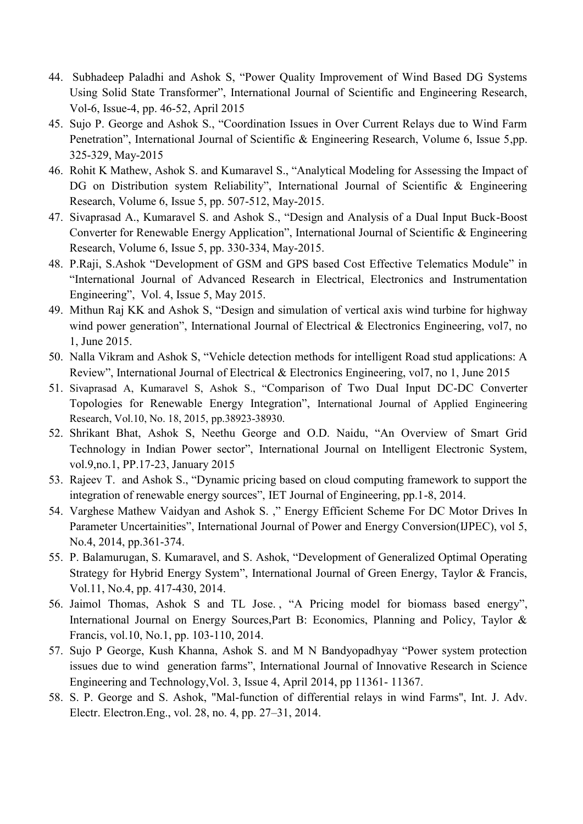- 44. Subhadeep Paladhi and Ashok S, "Power Quality Improvement of Wind Based DG Systems Using Solid State Transformer", International Journal of Scientific and Engineering Research, Vol-6, Issue-4, pp. 46-52, April 2015
- 45. Sujo P. George and Ashok S., "Coordination Issues in Over Current Relays due to Wind Farm Penetration", International Journal of Scientific & Engineering Research, Volume 6, Issue 5,pp. 325-329, May-2015
- 46. Rohit K Mathew, Ashok S. and Kumaravel S., "Analytical Modeling for Assessing the Impact of DG on Distribution system Reliability", International Journal of Scientific & Engineering Research, Volume 6, Issue 5, pp. 507-512, May-2015.
- 47. Sivaprasad A., Kumaravel S. and Ashok S., "Design and Analysis of a Dual Input Buck-Boost Converter for Renewable Energy Application", International Journal of Scientific & Engineering Research, Volume 6, Issue 5, pp. 330-334, May-2015.
- 48. P.Raji, S.Ashok "Development of GSM and GPS based Cost Effective Telematics Module" in "International Journal of Advanced Research in Electrical, Electronics and Instrumentation Engineering", Vol. 4, Issue 5, May 2015.
- 49. Mithun Raj KK and Ashok S, "Design and simulation of vertical axis wind turbine for highway wind power generation", International Journal of Electrical  $&$  Electronics Engineering, vol7, no 1, June 2015.
- 50. Nalla Vikram and Ashok S, "Vehicle detection methods for intelligent Road stud applications: A Review", International Journal of Electrical & Electronics Engineering, vol7, no 1, June 2015
- 51. Sivaprasad A, Kumaravel S, Ashok S., "Comparison of Two Dual Input DC-DC Converter Topologies for Renewable Energy Integration", International Journal of Applied Engineering Research, Vol.10, No. 18, 2015, pp.38923-38930.
- 52. Shrikant Bhat, Ashok S, Neethu George and O.D. Naidu, "An Overview of Smart Grid Technology in Indian Power sector", International Journal on Intelligent Electronic System, vol.9,no.1, PP.17-23, January 2015
- 53. Rajeev T. and Ashok S., "Dynamic pricing based on cloud computing framework to support the integration of renewable energy sources", IET Journal of Engineering, pp.1-8, 2014.
- 54. Varghese Mathew Vaidyan and Ashok S.," Energy Efficient Scheme For DC Motor Drives In Parameter Uncertainities", International Journal of Power and Energy Conversion(IJPEC), vol 5, No.4, 2014, pp.361-374.
- 55. P. Balamurugan, S. Kumaravel, and S. Ashok, "Development of Generalized Optimal Operating Strategy for Hybrid Energy System", International Journal of Green Energy, Taylor & Francis, Vol.11, No.4, pp. 417-430, 2014.
- 56. Jaimol Thomas, Ashok S and TL Jose., "A Pricing model for biomass based energy", International Journal on Energy Sources,Part B: Economics, Planning and Policy, Taylor & Francis, vol.10, No.1, pp. 103-110, 2014.
- 57. Sujo P George, Kush Khanna, Ashok S. and M N Bandyopadhyay "Power system protection issues due to wind generation farms", International Journal of Innovative Research in Science Engineering and Technology,Vol. 3, Issue 4, April 2014, pp 11361- 11367.
- 58. S. P. George and S. Ashok, "Mal-function of differential relays in wind Farms", Int. J. Adv. Electr. Electron.Eng., vol. 28, no. 4, pp. 27–31, 2014.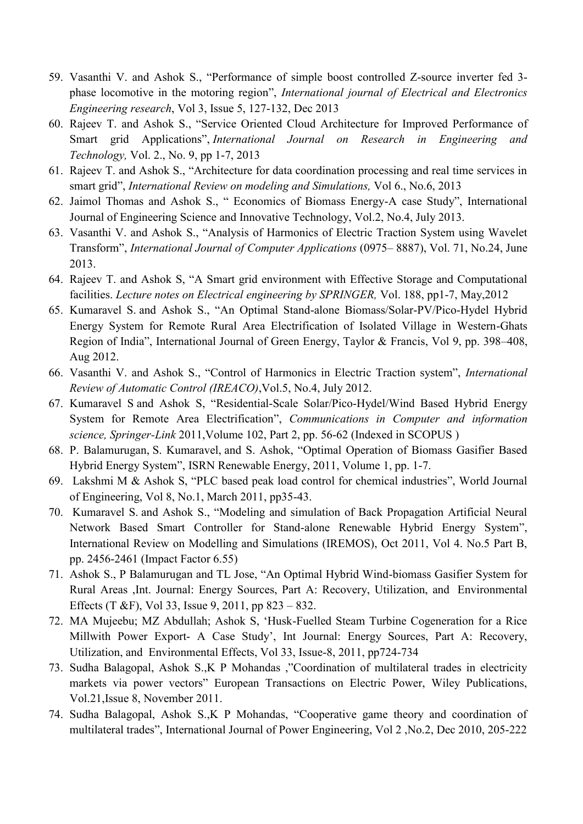- 59. Vasanthi V. and Ashok S., "Performance of simple boost controlled Z-source inverter fed 3phase locomotive in the motoring region", *International journal of Electrical and Electronics Engineering research*, Vol 3, Issue 5, 127-132, Dec 2013
- 60. Rajeev T. and Ashok S., "Service Oriented Cloud Architecture for Improved Performance of Smart grid Applications", *International Journal on Research in Engineering and Technology,* Vol. 2., No. 9, pp 1-7, 2013
- 61. Rajeev T. and Ashok S., "Architecture for data coordination processing and real time services in smart grid", *International Review on modeling and Simulations*, Vol 6., No.6, 2013
- 62. Jaimol Thomas and Ashok S., " Economics of Biomass Energy-A case Study", International Journal of Engineering Science and Innovative Technology, Vol.2, No.4, July 2013.
- 63. Vasanthi V. and Ashok S., "Analysis of Harmonics of Electric Traction System using Wavelet Transform‖, *International Journal of Computer Applications* (0975– 8887), Vol. 71, No.24, June 2013.
- 64. Rajeev T. and Ashok S, "A Smart grid environment with Effective Storage and Computational facilities. *Lecture notes on Electrical engineering by SPRINGER,* Vol. 188, pp1-7, May,2012
- 65. Kumaravel S. and Ashok S., "An Optimal Stand-alone Biomass/Solar-PV/Pico-Hydel Hybrid Energy System for Remote Rural Area Electrification of Isolated Village in Western-Ghats Region of India", International Journal of Green Energy, Taylor & Francis, Vol 9, pp. 398–408, Aug 2012.
- 66. Vasanthi V. and Ashok S., "Control of Harmonics in Electric Traction system", *International Review of Automatic Control (IREACO)*,Vol.5, No.4, July 2012.
- 67. Kumaravel S and Ashok S, "Residential-Scale Solar/Pico-Hydel/Wind Based Hybrid Energy System for Remote Area Electrification", *Communications in Computer and information science, Springer-Link* 2011,Volume 102, Part 2, pp. 56-62 (Indexed in SCOPUS )
- 68. P. Balamurugan, S. Kumaravel, and S. Ashok, "Optimal Operation of Biomass Gasifier Based Hybrid Energy System", ISRN Renewable Energy, 2011, Volume 1, pp. 1-7.
- 69. Lakshmi M & Ashok S, "PLC based peak load control for chemical industries", World Journal of Engineering, Vol 8, No.1, March 2011, pp35-43.
- 70. Kumaravel S. and Ashok S., "Modeling and simulation of Back Propagation Artificial Neural Network Based Smart Controller for Stand-alone Renewable Hybrid Energy System", International Review on Modelling and Simulations (IREMOS), Oct 2011, Vol 4. No.5 Part B, pp. 2456-2461 (Impact Factor 6.55)
- 71. Ashok S., P Balamurugan and TL Jose, "An Optimal Hybrid Wind-biomass Gasifier System for Rural Areas ,Int. Journal: Energy Sources, Part A: Recovery, Utilization, and Environmental Effects (T &F), Vol 33, Issue 9, 2011, pp 823 – 832.
- 72. MA Mujeebu; MZ Abdullah; Ashok S, ‗Husk-Fuelled Steam Turbine Cogeneration for a Rice Millwith Power Export- A Case Study', Int Journal: Energy Sources, Part A: Recovery, Utilization, and Environmental Effects, Vol 33, Issue-8, 2011, pp724-734
- 73. Sudha Balagopal, Ashok S.,K P Mohandas ,"Coordination of multilateral trades in electricity markets via power vectors" European Transactions on Electric Power, Wiley Publications, Vol.21,Issue 8, November 2011.
- 74. Sudha Balagopal, Ashok S., K P Mohandas, "Cooperative game theory and coordination of multilateral trades", International Journal of Power Engineering, Vol 2, No.2, Dec 2010, 205-222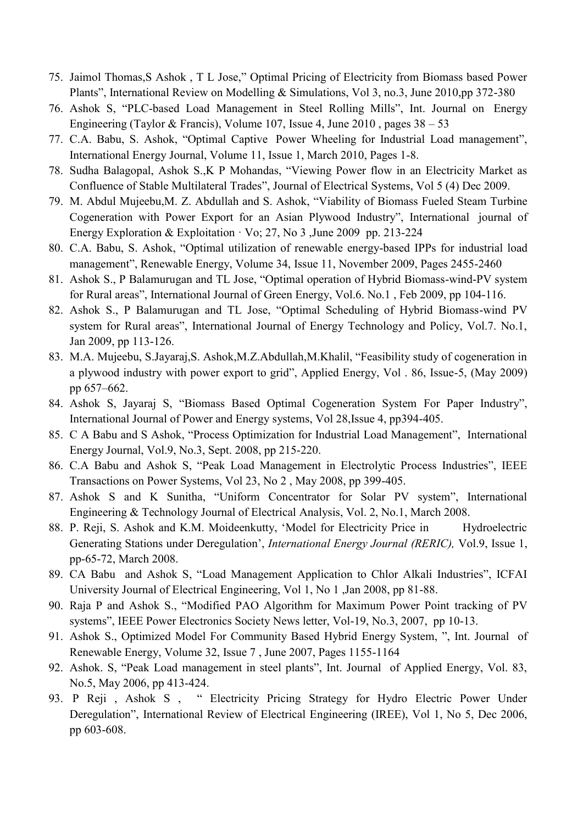- 75. Jaimol Thomas, S Ashok, T L Jose," Optimal Pricing of Electricity from Biomass based Power Plants", International Review on Modelling & Simulations, Vol 3, no.3, June 2010,pp 372-380
- 76. Ashok S, "PLC-based Load Management in Steel Rolling Mills", Int. Journal on Energy Engineering (Taylor & Francis), Volume 107, Issue 4, June 2010 , pages 38 – 53
- 77. C.A. Babu, S. Ashok, "Optimal Captive Power Wheeling for Industrial Load management", International Energy Journal, Volume 11, Issue 1, March 2010, Pages 1-8.
- 78. Sudha Balagopal, Ashok S., K P Mohandas, "Viewing Power flow in an Electricity Market as Confluence of Stable Multilateral Trades", Journal of Electrical Systems, Vol 5 (4) Dec 2009.
- 79. M. Abdul Mujeebu, M. Z. Abdullah and S. Ashok, "Viability of Biomass Fueled Steam Turbine Cogeneration with Power Export for an Asian Plywood Industry", International journal of Energy Exploration & Exploitation  $\cdot$  Vo; 27, No 3 , June 2009 pp. 213-224
- 80. C.A. Babu, S. Ashok, "Optimal utilization of renewable energy-based IPPs for industrial load management", Renewable Energy, Volume 34, Issue 11, November 2009, Pages 2455-2460
- 81. Ashok S., P Balamurugan and TL Jose, "Optimal operation of Hybrid Biomass-wind-PV system for Rural areas", International Journal of Green Energy, Vol.6. No.1, Feb 2009, pp 104-116.
- 82. Ashok S., P Balamurugan and TL Jose, "Optimal Scheduling of Hybrid Biomass-wind PV system for Rural areas", International Journal of Energy Technology and Policy, Vol.7. No.1, Jan 2009, pp 113-126.
- 83. M.A. Mujeebu, S.Jayaraj,S. Ashok,M.Z.Abdullah,M.Khalil, "Feasibility study of cogeneration in a plywood industry with power export to grid", Applied Energy, Vol. 86, Issue-5, (May 2009) pp 657–662.
- 84. Ashok S, Jayaraj S, "Biomass Based Optimal Cogeneration System For Paper Industry", International Journal of Power and Energy systems, Vol 28,Issue 4, pp394-405.
- 85. C A Babu and S Ashok, "Process Optimization for Industrial Load Management", International Energy Journal, Vol.9, No.3, Sept. 2008, pp 215-220.
- 86. C.A Babu and Ashok S, "Peak Load Management in Electrolytic Process Industries", IEEE Transactions on Power Systems, Vol 23, No 2 , May 2008, pp 399-405.
- 87. Ashok S and K Sunitha, "Uniform Concentrator for Solar PV system", International Engineering & Technology Journal of Electrical Analysis, Vol. 2, No.1, March 2008.
- 88. P. Reji, S. Ashok and K.M. Moideenkutty, 'Model for Electricity Price in Hydroelectric Generating Stations under Deregulation', *International Energy Journal (RERIC),* Vol.9, Issue 1, pp-65-72, March 2008.
- 89. CA Babu and Ashok S, "Load Management Application to Chlor Alkali Industries", ICFAI University Journal of Electrical Engineering, Vol 1, No 1 ,Jan 2008, pp 81-88.
- 90. Raja P and Ashok S., "Modified PAO Algorithm for Maximum Power Point tracking of PV systems", IEEE Power Electronics Society News letter, Vol-19, No.3, 2007, pp 10-13.
- 91. Ashok S., Optimized Model For Community Based Hybrid Energy System, ", Int. Journal of Renewable Energy, Volume 32, Issue 7 , June 2007, Pages 1155-1164
- 92. Ashok. S, "Peak Load management in steel plants", Int. Journal of Applied Energy, Vol. 83, No.5, May 2006, pp 413-424.
- 93. P Reji, Ashok S, " Electricity Pricing Strategy for Hydro Electric Power Under Deregulation", International Review of Electrical Engineering (IREE), Vol 1, No 5, Dec 2006, pp 603-608.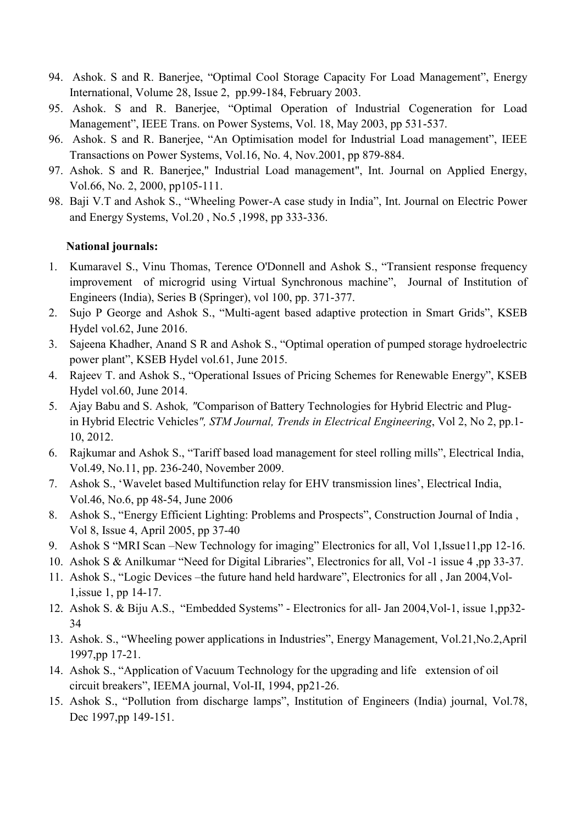- 94. Ashok. S and R. Banerjee, "Optimal Cool Storage Capacity For Load Management", Energy International, Volume 28, Issue 2, pp.99-184, February 2003.
- 95. Ashok. S and R. Banerjee, "Optimal Operation of Industrial Cogeneration for Load Management", IEEE Trans. on Power Systems, Vol. 18, May 2003, pp 531-537.
- 96. Ashok. S and R. Banerjee, "An Optimisation model for Industrial Load management", IEEE Transactions on Power Systems, Vol.16, No. 4, Nov.2001, pp 879-884.
- 97. Ashok. S and R. Banerjee," Industrial Load management", Int. Journal on Applied Energy, Vol.66, No. 2, 2000, pp105-111.
- 98. Baji V.T and Ashok S., "Wheeling Power-A case study in India", Int. Journal on Electric Power and Energy Systems, Vol.20 , No.5 ,1998, pp 333-336.

## **National journals:**

- 1. Kumaravel S., Vinu Thomas, Terence O'Donnell and Ashok S., "Transient response frequency improvement of microgrid using Virtual Synchronous machine", Journal of Institution of Engineers (India), Series B (Springer), vol 100, pp. 371-377.
- 2. Sujo P George and Ashok S., "Multi-agent based adaptive protection in Smart Grids", KSEB Hydel vol.62, June 2016.
- 3. Sajeena Khadher, Anand S R and Ashok S., "Optimal operation of pumped storage hydroelectric power plant", KSEB Hydel vol.61, June 2015.
- 4. Rajeev T. and Ashok S., "Operational Issues of Pricing Schemes for Renewable Energy", KSEB Hydel vol.60, June 2014.
- 5. Ajay Babu and S. Ashok*, "*Comparison of Battery Technologies for Hybrid Electric and Plugin Hybrid Electric Vehicles*", STM Journal, Trends in Electrical Engineering*, Vol 2, No 2, pp.1- 10, 2012.
- 6. Rajkumar and Ashok S., "Tariff based load management for steel rolling mills", Electrical India, Vol.49, No.11, pp. 236-240, November 2009.
- 7. Ashok S., ‗Wavelet based Multifunction relay for EHV transmission lines', Electrical India, Vol.46, No.6, pp 48-54, June 2006
- 8. Ashok S., "Energy Efficient Lighting: Problems and Prospects", Construction Journal of India, Vol 8, Issue 4, April 2005, pp 37-40
- 9. Ashok S "MRI Scan –New Technology for imaging" Electronics for all, Vol 1, Issue11, pp 12-16.
- 10. Ashok S & Anilkumar "Need for Digital Libraries", Electronics for all, Vol -1 issue 4,pp 33-37.
- 11. Ashok S., "Logic Devices –the future hand held hardware", Electronics for all, Jan 2004, Vol-1,issue 1, pp 14-17.
- 12. Ashok S. & Biju A.S., "Embedded Systems" Electronics for all- Jan 2004, Vol-1, issue 1,pp32-34
- 13. Ashok. S., "Wheeling power applications in Industries", Energy Management, Vol.21, No.2, April 1997,pp 17-21.
- 14. Ashok S., "Application of Vacuum Technology for the upgrading and life extension of oil circuit breakers", IEEMA journal, Vol-II, 1994, pp21-26.
- 15. Ashok S., "Pollution from discharge lamps", Institution of Engineers (India) journal, Vol.78, Dec 1997,pp 149-151.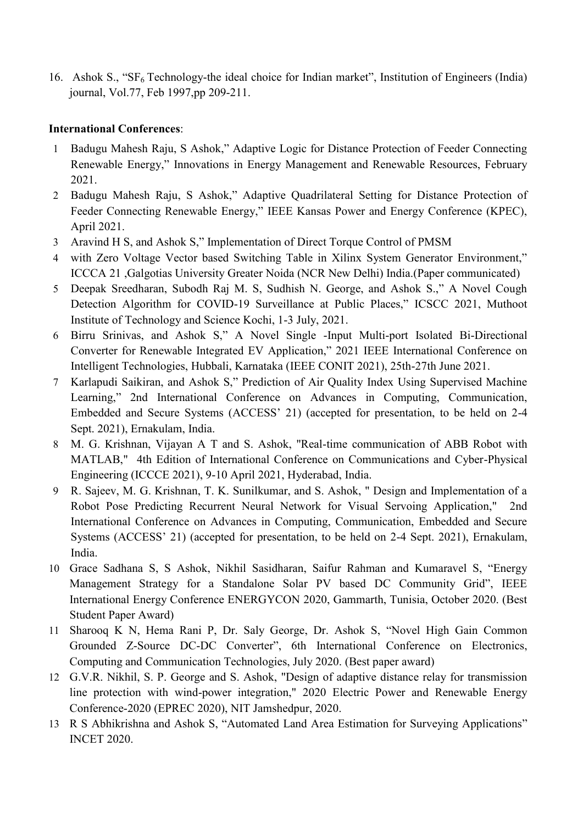16. Ashok S., "SF<sub>6</sub> Technology-the ideal choice for Indian market", Institution of Engineers (India) journal, Vol.77, Feb 1997,pp 209-211.

## **International Conferences**:

- 1 Badugu Mahesh Raju, S Ashok," Adaptive Logic for Distance Protection of Feeder Connecting Renewable Energy," Innovations in Energy Management and Renewable Resources, February 2021.
- 2 Badugu Mahesh Raju, S Ashok," Adaptive Quadrilateral Setting for Distance Protection of Feeder Connecting Renewable Energy," IEEE Kansas Power and Energy Conference (KPEC), April 2021.
- 3 Aravind H S, and Ashok S," Implementation of Direct Torque Control of PMSM
- 4 with Zero Voltage Vector based Switching Table in Xilinx System Generator Environment," ICCCA 21 ,Galgotias University Greater Noida (NCR New Delhi) India.(Paper communicated)
- 5 Deepak Sreedharan, Subodh Raj M. S, Sudhish N. George, and Ashok S.," A Novel Cough Detection Algorithm for COVID-19 Surveillance at Public Places," ICSCC 2021, Muthoot Institute of Technology and Science Kochi, 1-3 July, 2021.
- 6 Birru Srinivas, and Ashok S," A Novel Single -Input Multi-port Isolated Bi-Directional Converter for Renewable Integrated EV Application," 2021 IEEE International Conference on Intelligent Technologies, Hubbali, Karnataka (IEEE CONIT 2021), 25th-27th June 2021.
- 7 Karlapudi Saikiran, and Ashok S," Prediction of Air Quality Index Using Supervised Machine Learning," 2nd International Conference on Advances in Computing, Communication, Embedded and Secure Systems (ACCESS' 21) (accepted for presentation, to be held on 2-4 Sept. 2021), Ernakulam, India.
- 8 M. G. Krishnan, Vijayan A T and S. Ashok, "Real-time communication of ABB Robot with MATLAB," 4th Edition of International Conference on Communications and Cyber-Physical Engineering (ICCCE 2021), 9-10 April 2021, Hyderabad, India.
- 9 R. Sajeev, M. G. Krishnan, T. K. Sunilkumar, and S. Ashok, " Design and Implementation of a Robot Pose Predicting Recurrent Neural Network for Visual Servoing Application," 2nd International Conference on Advances in Computing, Communication, Embedded and Secure Systems (ACCESS' 21) (accepted for presentation, to be held on 2-4 Sept. 2021), Ernakulam, India.
- 10 Grace Sadhana S, S Ashok, Nikhil Sasidharan, Saifur Rahman and Kumaravel S, "Energy Management Strategy for a Standalone Solar PV based DC Community Grid", IEEE International Energy Conference ENERGYCON 2020, Gammarth, Tunisia, October 2020. (Best Student Paper Award)
- 11 Sharooq K N, Hema Rani P, Dr. Saly George, Dr. Ashok S, "Novel High Gain Common Grounded Z-Source DC-DC Converter", 6th International Conference on Electronics, Computing and Communication Technologies, July 2020. (Best paper award)
- 12 G.V.R. Nikhil, S. P. George and S. Ashok, "Design of adaptive distance relay for transmission line protection with wind-power integration," 2020 Electric Power and Renewable Energy Conference-2020 (EPREC 2020), NIT Jamshedpur, 2020.
- 13 R S Abhikrishna and Ashok S, "Automated Land Area Estimation for Surveying Applications" INCET 2020.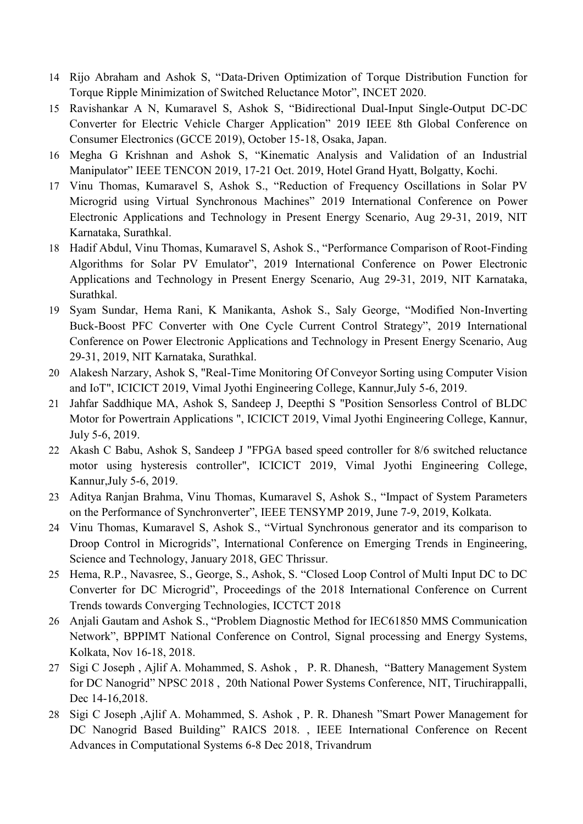- 14 Rijo Abraham and Ashok S, "Data-Driven Optimization of Torque Distribution Function for Torque Ripple Minimization of Switched Reluctance Motor", INCET 2020.
- 15 Ravishankar A N, Kumaravel S, Ashok S, "Bidirectional Dual-Input Single-Output DC-DC Converter for Electric Vehicle Charger Application" 2019 IEEE 8th Global Conference on Consumer Electronics (GCCE 2019), October 15-18, Osaka, Japan.
- 16 Megha G Krishnan and Ashok S, "Kinematic Analysis and Validation of an Industrial Manipulator" IEEE TENCON 2019, 17-21 Oct. 2019, Hotel Grand Hyatt, Bolgatty, Kochi.
- 17 Vinu Thomas, Kumaravel S, Ashok S., "Reduction of Frequency Oscillations in Solar PV Microgrid using Virtual Synchronous Machines" 2019 International Conference on Power Electronic Applications and Technology in Present Energy Scenario, Aug 29-31, 2019, NIT Karnataka, Surathkal.
- 18 Hadif Abdul, Vinu Thomas, Kumaravel S, Ashok S., "Performance Comparison of Root-Finding Algorithms for Solar PV Emulator", 2019 International Conference on Power Electronic Applications and Technology in Present Energy Scenario, Aug 29-31, 2019, NIT Karnataka, Surathkal.
- 19 Syam Sundar, Hema Rani, K Manikanta, Ashok S., Saly George, "Modified Non-Inverting Buck-Boost PFC Converter with One Cycle Current Control Strategy", 2019 International Conference on Power Electronic Applications and Technology in Present Energy Scenario, Aug 29-31, 2019, NIT Karnataka, Surathkal.
- 20 Alakesh Narzary, Ashok S, "Real-Time Monitoring Of Conveyor Sorting using Computer Vision and IoT", ICICICT 2019, Vimal Jyothi Engineering College, Kannur,July 5-6, 2019.
- 21 Jahfar Saddhique MA, Ashok S, Sandeep J, Deepthi S "Position Sensorless Control of BLDC Motor for Powertrain Applications ", ICICICT 2019, Vimal Jyothi Engineering College, Kannur, July 5-6, 2019.
- 22 Akash C Babu, Ashok S, Sandeep J "FPGA based speed controller for 8/6 switched reluctance motor using hysteresis controller", ICICICT 2019, Vimal Jyothi Engineering College, Kannur,July 5-6, 2019.
- 23 Aditya Ranjan Brahma, Vinu Thomas, Kumaravel S, Ashok S., "Impact of System Parameters on the Performance of Synchronverter", IEEE TENSYMP 2019, June 7-9, 2019, Kolkata.
- 24 Vinu Thomas, Kumaravel S, Ashok S., "Virtual Synchronous generator and its comparison to Droop Control in Microgrids", International Conference on Emerging Trends in Engineering, Science and Technology, January 2018, GEC Thrissur.
- 25 Hema, R.P., Navasree, S., George, S., Ashok, S. "Closed Loop Control of Multi Input DC to DC Converter for DC Microgrid", Proceedings of the 2018 International Conference on Current Trends towards Converging Technologies, ICCTCT 2018
- 26 Anjali Gautam and Ashok S., "Problem Diagnostic Method for IEC61850 MMS Communication Network", BPPIMT National Conference on Control, Signal processing and Energy Systems, Kolkata, Nov 16-18, 2018.
- 27 Sigi C Joseph, Ajlif A. Mohammed, S. Ashok, P. R. Dhanesh, "Battery Management System for DC Nanogrid" NPSC 2018, 20th National Power Systems Conference, NIT, Tiruchirappalli, Dec 14-16,2018.
- 28 Sigi C Joseph ,Ajlif A. Mohammed, S. Ashok, P. R. Dhanesh "Smart Power Management for DC Nanogrid Based Building" RAICS 2018., IEEE International Conference on Recent Advances in Computational Systems 6-8 Dec 2018, Trivandrum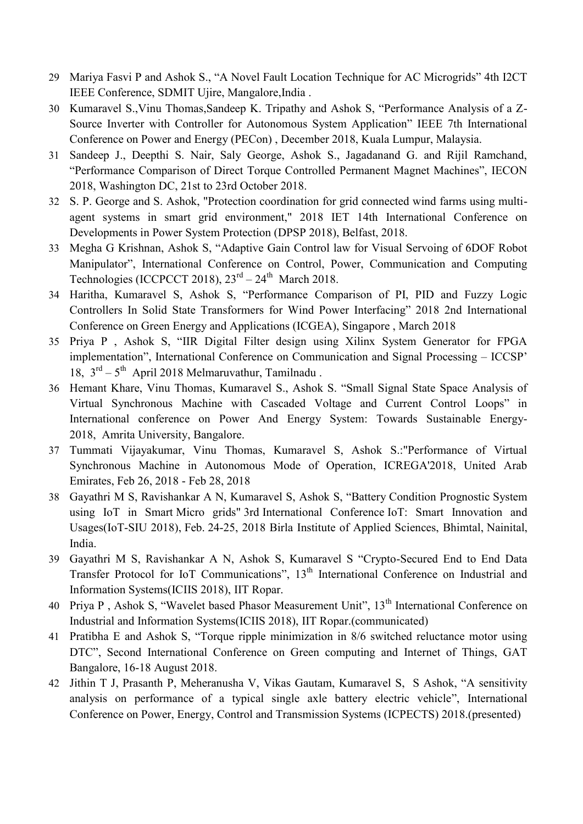- 29 Mariya Fasvi P and Ashok S., "A Novel Fault Location Technique for AC Microgrids" 4th I2CT IEEE Conference, SDMIT Ujire, Mangalore,India .
- 30 Kumaravel S., Vinu Thomas, Sandeep K. Tripathy and Ashok S, "Performance Analysis of a Z-Source Inverter with Controller for Autonomous System Application" IEEE 7th International Conference on Power and Energy (PECon) , December 2018, Kuala Lumpur, Malaysia.
- 31 Sandeep J., Deepthi S. Nair, Saly George, Ashok S., Jagadanand G. and Rijil Ramchand, "Performance Comparison of Direct Torque Controlled Permanent Magnet Machines", IECON 2018, Washington DC, 21st to 23rd October 2018.
- 32 S. P. George and S. Ashok, "Protection coordination for grid connected wind farms using multiagent systems in smart grid environment," 2018 IET 14th International Conference on Developments in Power System Protection (DPSP 2018), Belfast, 2018.
- 33 Megha G Krishnan, Ashok S, "Adaptive Gain Control law for Visual Servoing of 6DOF Robot Manipulator", International Conference on Control, Power, Communication and Computing Technologies (ICCPCCT 2018),  $23<sup>rd</sup> - 24<sup>th</sup>$  March 2018.
- 34 Haritha, Kumaravel S, Ashok S, "Performance Comparison of PI, PID and Fuzzy Logic Controllers In Solid State Transformers for Wind Power Interfacing" 2018 2nd International Conference on Green Energy and Applications (ICGEA), Singapore , March 2018
- 35 Priya P, Ashok S, "IIR Digital Filter design using Xilinx System Generator for FPGA implementation", International Conference on Communication and Signal Processing - ICCSP' 18,  $3<sup>rd</sup> - 5<sup>th</sup>$  April 2018 Melmaruvathur, Tamilnadu .
- 36 Hemant Khare, Vinu Thomas, Kumaravel S., Ashok S. "Small Signal State Space Analysis of Virtual Synchronous Machine with Cascaded Voltage and Current Control Loops" in International conference on Power And Energy System: Towards Sustainable Energy-2018, Amrita University, Bangalore.
- 37 Tummati Vijayakumar, Vinu Thomas, Kumaravel S, Ashok S.:"Performance of Virtual Synchronous Machine in Autonomous Mode of Operation, ICREGA'2018, United Arab Emirates, Feb 26, 2018 - Feb 28, 2018
- 38 Gayathri M S, Ravishankar A N, Kumaravel S, Ashok S, "Battery Condition Prognostic System using IoT in Smart Micro grids" 3rd International Conference IoT: Smart Innovation and Usages(IoT-SIU 2018), Feb. 24-25, 2018 Birla Institute of Applied Sciences, Bhimtal, Nainital, India.
- 39 Gayathri M S, Ravishankar A N, Ashok S, Kumaravel S "Crypto-Secured End to End Data Transfer Protocol for IoT Communications", 13<sup>th</sup> International Conference on Industrial and Information Systems(ICIIS 2018), IIT Ropar.
- 40 Priya P, Ashok S, "Wavelet based Phasor Measurement Unit", 13<sup>th</sup> International Conference on Industrial and Information Systems(ICIIS 2018), IIT Ropar.(communicated)
- 41 Pratibha E and Ashok S, "Torque ripple minimization in 8/6 switched reluctance motor using DTC", Second International Conference on Green computing and Internet of Things, GAT Bangalore, 16-18 August 2018.
- 42 Jithin T J, Prasanth P, Meheranusha V, Vikas Gautam, Kumaravel S, S Ashok, "A sensitivity analysis on performance of a typical single axle battery electric vehicle", International Conference on Power, Energy, Control and Transmission Systems (ICPECTS) 2018.(presented)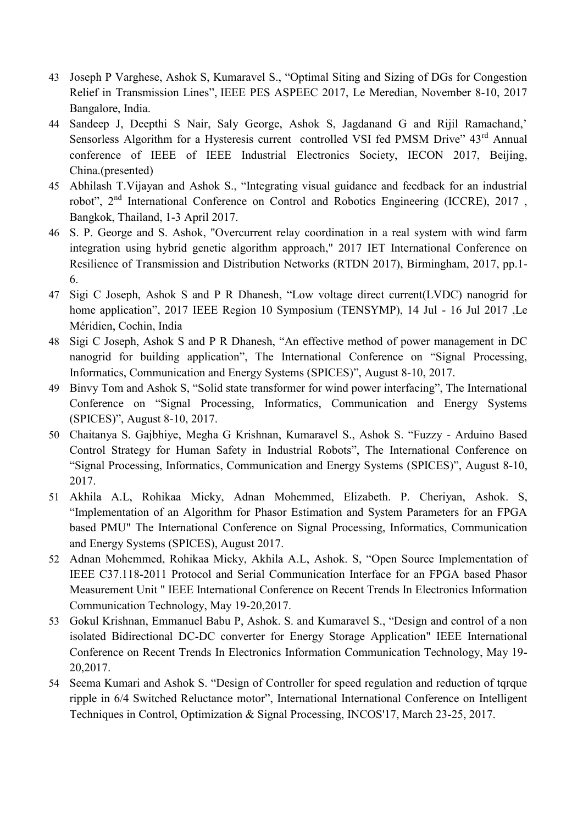- 43 Joseph P Varghese, Ashok S, Kumaravel S., "Optimal Siting and Sizing of DGs for Congestion Relief in Transmission Lines", IEEE PES ASPEEC 2017, Le Meredian, November 8-10, 2017 Bangalore, India.
- 44 Sandeep J, Deepthi S Nair, Saly George, Ashok S, Jagdanand G and Rijil Ramachand,' Sensorless Algorithm for a Hysteresis current controlled VSI fed PMSM Drive" 43<sup>rd</sup> Annual conference of IEEE of IEEE Industrial Electronics Society, IECON 2017, Beijing, China.(presented)
- 45 Abhilash T.Vijayan and Ashok S., "Integrating visual guidance and feedback for an industrial robot". 2<sup>nd</sup> International Conference on Control and Robotics Engineering (ICCRE), 2017, Bangkok, Thailand, 1-3 April 2017.
- 46 S. P. George and S. Ashok, "Overcurrent relay coordination in a real system with wind farm integration using hybrid genetic algorithm approach," 2017 IET International Conference on Resilience of Transmission and Distribution Networks (RTDN 2017), Birmingham, 2017, pp.1- 6.
- 47 Sigi C Joseph, Ashok S and P R Dhanesh, "Low voltage direct current(LVDC) nanogrid for home application", 2017 IEEE Region 10 Symposium (TENSYMP), 14 Jul - 16 Jul 2017 ,Le Méridien, Cochin, India
- 48 Sigi C Joseph, Ashok S and P R Dhanesh, "An effective method of power management in DC nanogrid for building application", The International Conference on "Signal Processing, Informatics, Communication and Energy Systems (SPICES)", August 8-10, 2017.
- 49 Binvy Tom and Ashok S, "Solid state transformer for wind power interfacing", The International Conference on "Signal Processing, Informatics, Communication and Energy Systems (SPICES)", August 8-10, 2017.
- 50 Chaitanya S. Gajbhiye, Megha G Krishnan, Kumaravel S., Ashok S. "Fuzzy Arduino Based Control Strategy for Human Safety in Industrial Robots", The International Conference on "Signal Processing, Informatics, Communication and Energy Systems (SPICES)", August 8-10, 2017.
- 51 Akhila A.L, Rohikaa Micky, Adnan Mohemmed, Elizabeth. P. Cheriyan, Ashok. S, "Implementation of an Algorithm for Phasor Estimation and System Parameters for an FPGA based PMU" The International Conference on Signal Processing, Informatics, Communication and Energy Systems (SPICES), August 2017.
- 52 Adnan Mohemmed, Rohikaa Micky, Akhila A.L, Ashok. S, "Open Source Implementation of IEEE C37.118-2011 Protocol and Serial Communication Interface for an FPGA based Phasor Measurement Unit " IEEE International Conference on Recent Trends In Electronics Information Communication Technology, May 19-20,2017.
- 53 Gokul Krishnan, Emmanuel Babu P, Ashok. S. and Kumaravel S., "Design and control of a non isolated Bidirectional DC-DC converter for Energy Storage Application" IEEE International Conference on Recent Trends In Electronics Information Communication Technology, May 19- 20,2017.
- 54 Seema Kumari and Ashok S. "Design of Controller for speed regulation and reduction of tqrque ripple in 6/4 Switched Reluctance motor", International International Conference on Intelligent Techniques in Control, Optimization & Signal Processing, INCOS'17, March 23-25, 2017.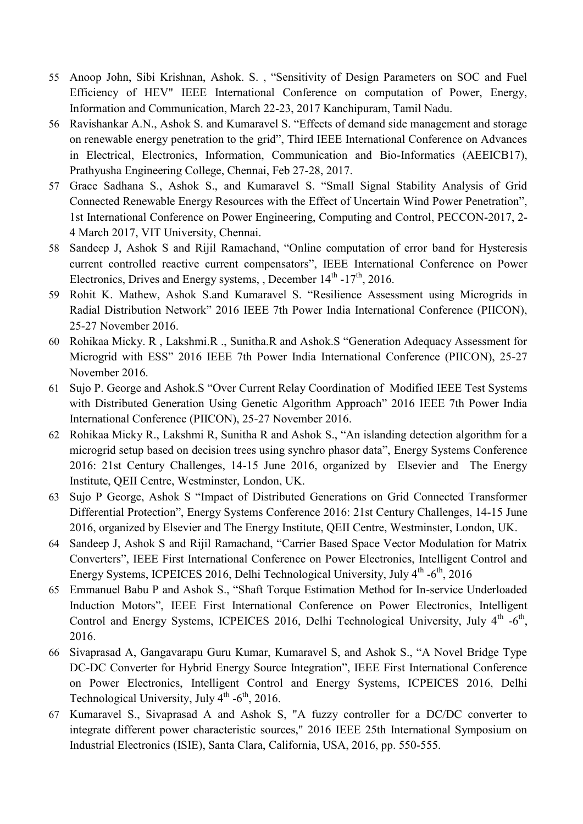- 55 Anoop John, Sibi Krishnan, Ashok. S., "Sensitivity of Design Parameters on SOC and Fuel Efficiency of HEV" IEEE International Conference on computation of Power, Energy, Information and Communication, March 22-23, 2017 Kanchipuram, Tamil Nadu.
- 56 Ravishankar A.N., Ashok S. and Kumaravel S. "Effects of demand side management and storage on renewable energy penetration to the grid", Third IEEE International Conference on Advances in Electrical, Electronics, Information, Communication and Bio-Informatics (AEEICB17), Prathyusha Engineering College, Chennai, Feb 27-28, 2017.
- 57 Grace Sadhana S., Ashok S., and Kumaravel S. "Small Signal Stability Analysis of Grid Connected Renewable Energy Resources with the Effect of Uncertain Wind Power Penetration", 1st International Conference on Power Engineering, Computing and Control, PECCON-2017, 2- 4 March 2017, VIT University, Chennai.
- 58 Sandeep J, Ashok S and Rijil Ramachand, "Online computation of error band for Hysteresis current controlled reactive current compensators", IEEE International Conference on Power Electronics, Drives and Energy systems, , December  $14<sup>th</sup>$  -17<sup>th</sup>, 2016.
- 59 Rohit K. Mathew, Ashok S.and Kumaravel S. "Resilience Assessment using Microgrids in Radial Distribution Network" 2016 IEEE 7th Power India International Conference (PIICON), 25-27 November 2016.
- 60 Rohikaa Micky. R, Lakshmi.R., Sunitha.R and Ashok.S "Generation Adequacy Assessment for Microgrid with ESS" 2016 IEEE 7th Power India International Conference (PIICON), 25-27 November 2016.
- 61 Sujo P. George and Ashok.S "Over Current Relay Coordination of Modified IEEE Test Systems with Distributed Generation Using Genetic Algorithm Approach" 2016 IEEE 7th Power India International Conference (PIICON), 25-27 November 2016.
- 62 Rohikaa Micky R., Lakshmi R, Sunitha R and Ashok S., "An islanding detection algorithm for a microgrid setup based on decision trees using synchro phasor data", Energy Systems Conference 2016: 21st Century Challenges, 14-15 June 2016, organized by Elsevier and The Energy Institute, QEII Centre, Westminster, London, UK.
- 63 Sujo P George, Ashok S "Impact of Distributed Generations on Grid Connected Transformer Differential Protection", Energy Systems Conference 2016: 21st Century Challenges, 14-15 June 2016, organized by Elsevier and The Energy Institute, QEII Centre, Westminster, London, UK.
- 64 Sandeep J, Ashok S and Rijil Ramachand, "Carrier Based Space Vector Modulation for Matrix Converters", IEEE First International Conference on Power Electronics, Intelligent Control and Energy Systems, ICPEICES 2016, Delhi Technological University, July 4<sup>th</sup> -6<sup>th</sup>, 2016
- 65 Emmanuel Babu P and Ashok S., "Shaft Torque Estimation Method for In-service Underloaded Induction Motors", IEEE First International Conference on Power Electronics, Intelligent Control and Energy Systems, ICPEICES 2016, Delhi Technological University, July 4<sup>th</sup> -6<sup>th</sup>, 2016.
- 66 Sivaprasad A, Gangavarapu Guru Kumar, Kumaravel S, and Ashok S., "A Novel Bridge Type DC-DC Converter for Hybrid Energy Source Integration", IEEE First International Conference on Power Electronics, Intelligent Control and Energy Systems, ICPEICES 2016, Delhi Technological University, July 4<sup>th</sup> -6<sup>th</sup>, 2016.
- 67 Kumaravel S., Sivaprasad A and Ashok S, "A fuzzy controller for a DC/DC converter to integrate different power characteristic sources," 2016 IEEE 25th International Symposium on Industrial Electronics (ISIE), Santa Clara, California, USA, 2016, pp. 550-555.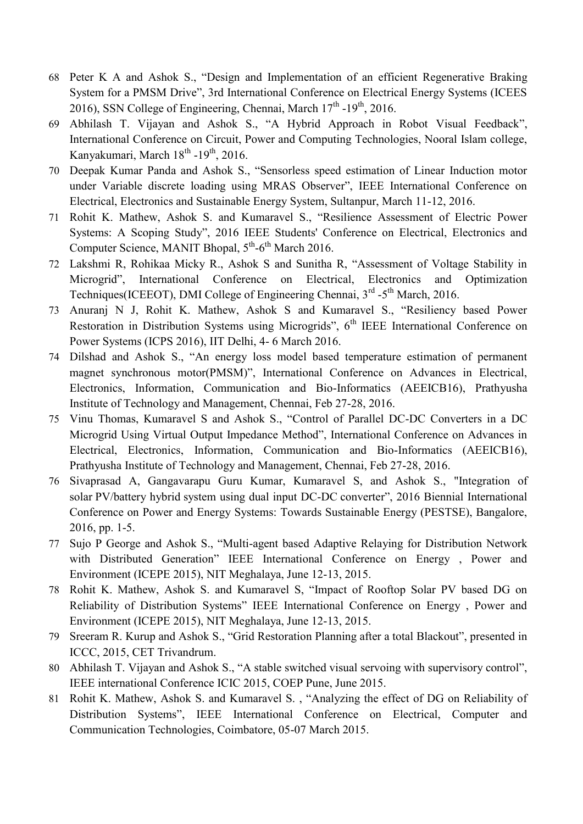- 68 Peter K A and Ashok S., "Design and Implementation of an efficient Regenerative Braking System for a PMSM Drive", 3rd International Conference on Electrical Energy Systems (ICEES 2016), SSN College of Engineering, Chennai, March  $17<sup>th</sup>$  -19<sup>th</sup>, 2016.
- 69 Abhilash T. Vijayan and Ashok S., "A Hybrid Approach in Robot Visual Feedback", International Conference on Circuit, Power and Computing Technologies, Nooral Islam college, Kanyakumari, March 18<sup>th</sup> -19<sup>th</sup>, 2016.
- 70 Deepak Kumar Panda and Ashok S., "Sensorless speed estimation of Linear Induction motor under Variable discrete loading using MRAS Observer", IEEE International Conference on Electrical, Electronics and Sustainable Energy System, Sultanpur, March 11-12, 2016.
- 71 Rohit K. Mathew, Ashok S. and Kumaravel S., "Resilience Assessment of Electric Power Systems: A Scoping Study", 2016 IEEE Students' Conference on Electrical, Electronics and Computer Science, MANIT Bhopal, 5<sup>th</sup>-6<sup>th</sup> March 2016.
- 72 Lakshmi R, Rohikaa Micky R., Ashok S and Sunitha R, "Assessment of Voltage Stability in Microgrid", International Conference on Electrical, Electronics and Optimization Techniques(ICEEOT), DMI College of Engineering Chennai, 3<sup>rd</sup> -5<sup>th</sup> March, 2016.
- 73 Anuranj N J, Rohit K. Mathew, Ashok S and Kumaravel S., "Resiliency based Power Restoration in Distribution Systems using Microgrids",  $6<sup>th</sup>$  IEEE International Conference on Power Systems (ICPS 2016), IIT Delhi, 4- 6 March 2016.
- 74 Dilshad and Ashok S., "An energy loss model based temperature estimation of permanent magnet synchronous motor(PMSM)", International Conference on Advances in Electrical, Electronics, Information, Communication and Bio-Informatics (AEEICB16), Prathyusha Institute of Technology and Management, Chennai, Feb 27-28, 2016.
- 75 Vinu Thomas, Kumaravel S and Ashok S., "Control of Parallel DC-DC Converters in a DC Microgrid Using Virtual Output Impedance Method", International Conference on Advances in Electrical, Electronics, Information, Communication and Bio-Informatics (AEEICB16), Prathyusha Institute of Technology and Management, Chennai, Feb 27-28, 2016.
- 76 Sivaprasad A, Gangavarapu Guru Kumar, Kumaravel S, and Ashok S., "Integration of solar PV/battery hybrid system using dual input DC-DC converter", 2016 Biennial International Conference on Power and Energy Systems: Towards Sustainable Energy (PESTSE), Bangalore, 2016, pp. 1-5.
- 77 Sujo P George and Ashok S., "Multi-agent based Adaptive Relaying for Distribution Network with Distributed Generation" IEEE International Conference on Energy, Power and Environment (ICEPE 2015), NIT Meghalaya, June 12-13, 2015.
- 78 Rohit K. Mathew, Ashok S. and Kumaravel S, "Impact of Rooftop Solar PV based DG on Reliability of Distribution Systems" IEEE International Conference on Energy, Power and Environment (ICEPE 2015), NIT Meghalaya, June 12-13, 2015.
- 79 Sreeram R. Kurup and Ashok S., "Grid Restoration Planning after a total Blackout", presented in ICCC, 2015, CET Trivandrum.
- 80 Abhilash T. Vijayan and Ashok S., "A stable switched visual servoing with supervisory control", IEEE international Conference ICIC 2015, COEP Pune, June 2015.
- 81 Rohit K. Mathew, Ashok S. and Kumaravel S., "Analyzing the effect of DG on Reliability of Distribution Systems", IEEE International Conference on Electrical, Computer and Communication Technologies, Coimbatore, 05-07 March 2015.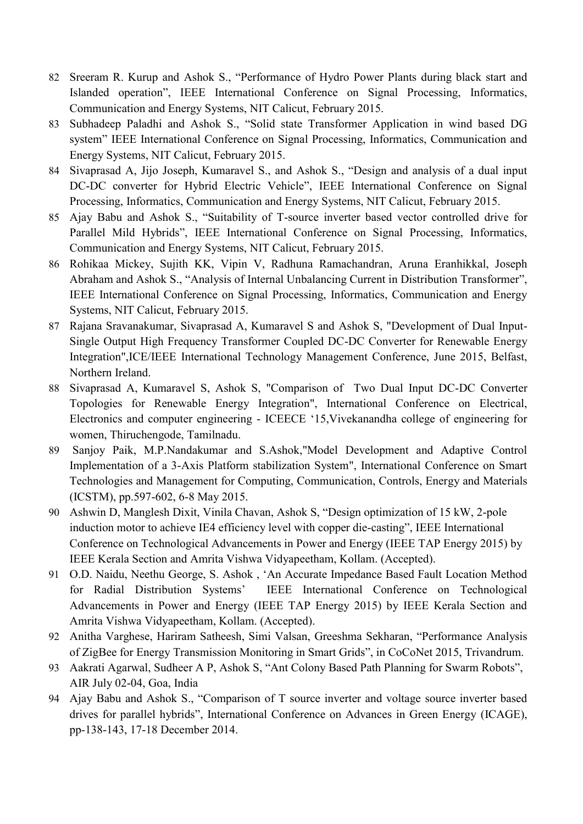- 82 Sreeram R. Kurup and Ashok S., "Performance of Hydro Power Plants during black start and Islanded operation", IEEE International Conference on Signal Processing, Informatics, Communication and Energy Systems, NIT Calicut, February 2015.
- 83 Subhadeep Paladhi and Ashok S., "Solid state Transformer Application in wind based DG system" IEEE International Conference on Signal Processing, Informatics, Communication and Energy Systems, NIT Calicut, February 2015.
- 84 Sivaprasad A, Jijo Joseph, Kumaravel S., and Ashok S., "Design and analysis of a dual input DC-DC converter for Hybrid Electric Vehicle", IEEE International Conference on Signal Processing, Informatics, Communication and Energy Systems, NIT Calicut, February 2015.
- 85 Ajay Babu and Ashok S., "Suitability of T-source inverter based vector controlled drive for Parallel Mild Hybrids", IEEE International Conference on Signal Processing, Informatics, Communication and Energy Systems, NIT Calicut, February 2015.
- 86 Rohikaa Mickey, Sujith KK, Vipin V, Radhuna Ramachandran, Aruna Eranhikkal, Joseph Abraham and Ashok S., "Analysis of Internal Unbalancing Current in Distribution Transformer", IEEE International Conference on Signal Processing, Informatics, Communication and Energy Systems, NIT Calicut, February 2015.
- 87 Rajana Sravanakumar, Sivaprasad A, Kumaravel S and Ashok S, "Development of Dual Input-Single Output High Frequency Transformer Coupled DC-DC Converter for Renewable Energy Integration",ICE/IEEE International Technology Management Conference, June 2015, Belfast, Northern Ireland.
- 88 Sivaprasad A, Kumaravel S, Ashok S, "Comparison of Two Dual Input DC-DC Converter Topologies for Renewable Energy Integration", International Conference on Electrical, Electronics and computer engineering - ICEECE ‗15,Vivekanandha college of engineering for women, Thiruchengode, Tamilnadu.
- 89 Sanjoy Paik, M.P.Nandakumar and S.Ashok,"Model Development and Adaptive Control Implementation of a 3-Axis Platform stabilization System", International Conference on Smart Technologies and Management for Computing, Communication, Controls, Energy and Materials (ICSTM), pp.597-602, 6-8 May 2015.
- 90 Ashwin D, Manglesh Dixit, Vinila Chavan, Ashok S, "Design optimization of 15 kW, 2-pole induction motor to achieve IE4 efficiency level with copper die-casting", IEEE International Conference on Technological Advancements in Power and Energy (IEEE TAP Energy 2015) by IEEE Kerala Section and Amrita Vishwa Vidyapeetham, Kollam. (Accepted).
- 91 O.D. Naidu, Neethu George, S. Ashok, 'An Accurate Impedance Based Fault Location Method for Radial Distribution Systems' IEEE International Conference on Technological Advancements in Power and Energy (IEEE TAP Energy 2015) by IEEE Kerala Section and Amrita Vishwa Vidyapeetham, Kollam. (Accepted).
- 92 Anitha Varghese, Hariram Satheesh, Simi Valsan, Greeshma Sekharan, "Performance Analysis of ZigBee for Energy Transmission Monitoring in Smart Grids", in CoCoNet 2015, Trivandrum.
- 93 Aakrati Agarwal, Sudheer A P, Ashok S, "Ant Colony Based Path Planning for Swarm Robots", AIR July 02-04, Goa, India
- 94 Ajay Babu and Ashok S., "Comparison of T source inverter and voltage source inverter based drives for parallel hybrids", International Conference on Advances in Green Energy (ICAGE), pp-138-143, 17-18 December 2014.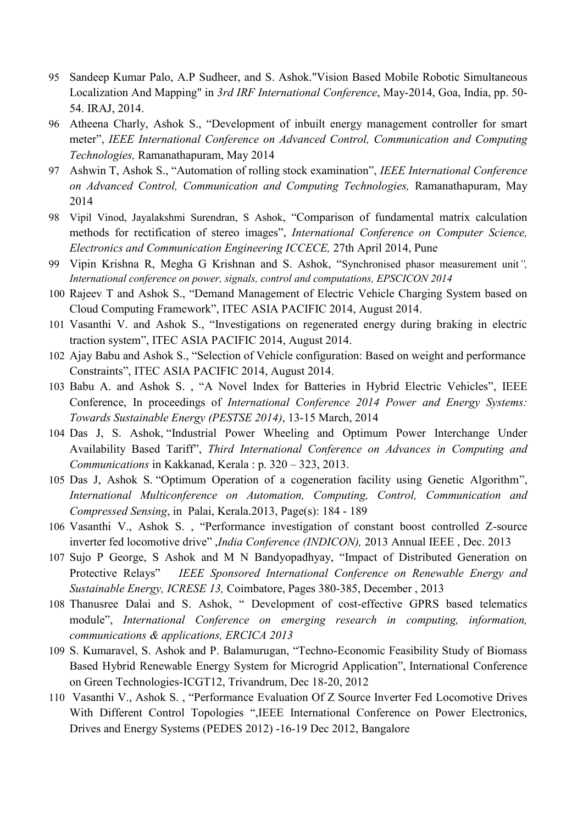- 95 Sandeep Kumar Palo, A.P Sudheer, and S. Ashok."Vision Based Mobile Robotic Simultaneous Localization And Mapping" in *3rd IRF International Conference*, May-2014, Goa, India, pp. 50- 54. IRAJ, 2014.
- 96 Atheena Charly, Ashok S., "Development of inbuilt energy management controller for smart meter", *IEEE International Conference on Advanced Control, Communication and Computing Technologies,* Ramanathapuram, May 2014
- 97 Ashwin T, Ashok S., "Automation of rolling stock examination", *IEEE International Conference on Advanced Control, Communication and Computing Technologies,* Ramanathapuram, May 2014
- 98 Vipil Vinod, Jayalakshmi Surendran, S Ashok, "Comparison of fundamental matrix calculation methods for rectification of stereo images", *International Conference on Computer Science*, *Electronics and Communication Engineering ICCECE,* 27th April 2014, Pune
- 99 Vipin Krishna R, Megha G Krishnan and S. Ashok, "Synchronised phasor measurement unit", *International conference on power, signals, control and computations, EPSCICON 2014*
- 100 Rajeev T and Ashok S., "Demand Management of Electric Vehicle Charging System based on Cloud Computing Framework", ITEC ASIA PACIFIC 2014, August 2014.
- 101 Vasanthi V. and Ashok S., "Investigations on regenerated energy during braking in electric traction system", ITEC ASIA PACIFIC 2014, August 2014.
- 102 Ajay Babu and Ashok S., "Selection of Vehicle configuration: Based on weight and performance Constraints", ITEC ASIA PACIFIC 2014, August 2014.
- 103 Babu A. and Ashok S., "A Novel Index for Batteries in Hybrid Electric Vehicles", IEEE Conference, In proceedings of *International Conference 2014 Power and Energy Systems: Towards Sustainable Energy (PESTSE 2014)*, 13-15 March, 2014
- 104 Das J, S. Ashok, "Industrial Power Wheeling and Optimum Power Interchange Under [Availability Based Tariff](http://people.rajagiritech.ac.in/janim/publications/industrial-power-wheeling-and-optimum-power-interchange-under-availability-based)", *Third International Conference on Advances in Computing and Communications* in Kakkanad, Kerala : p. 320 – 323, 2013.
- 105 Das J, Ashok S. "[Optimum Operation of a cogeneration facility using Genetic Algorithm](http://people.rajagiritech.ac.in/janim/publications/optimum-operation-cogeneration-facility-using-genetic-algorithm)", *International Multiconference on Automation, Computing, Control, Communication and Compressed Sensing*, in Palai, Kerala.2013, Page(s): 184 - 189
- 106 Vasanthi V., Ashok S., "Performance investigation of constant boost controlled Z-source inverter fed locomotive drive" *,India Conference (INDICON)*, 2013 Annual IEEE , Dec. 2013
- 107 Sujo P George, S Ashok and M N Bandyopadhyay, "Impact of Distributed Generation on Protective Relays‖ *IEEE Sponsored International Conference on Renewable Energy and Sustainable Energy, ICRESE 13,* Coimbatore, Pages 380-385, December , 2013
- 108 Thanusree Dalai and S. Ashok, " Development of cost-effective GPRS based telematics module", *International Conference on emerging research in computing, information, communications & applications, ERCICA 2013*
- 109 S. Kumaravel, S. Ashok and P. Balamurugan, "Techno-Economic Feasibility Study of Biomass Based Hybrid Renewable Energy System for Microgrid Application", International Conference on Green Technologies-ICGT12, Trivandrum, Dec 18-20, 2012
- 110 Vasanthi V., Ashok S., "Performance Evaluation Of Z Source Inverter Fed Locomotive Drives With Different Control Topologies ", IEEE International Conference on Power Electronics, Drives and Energy Systems (PEDES 2012) -16-19 Dec 2012, Bangalore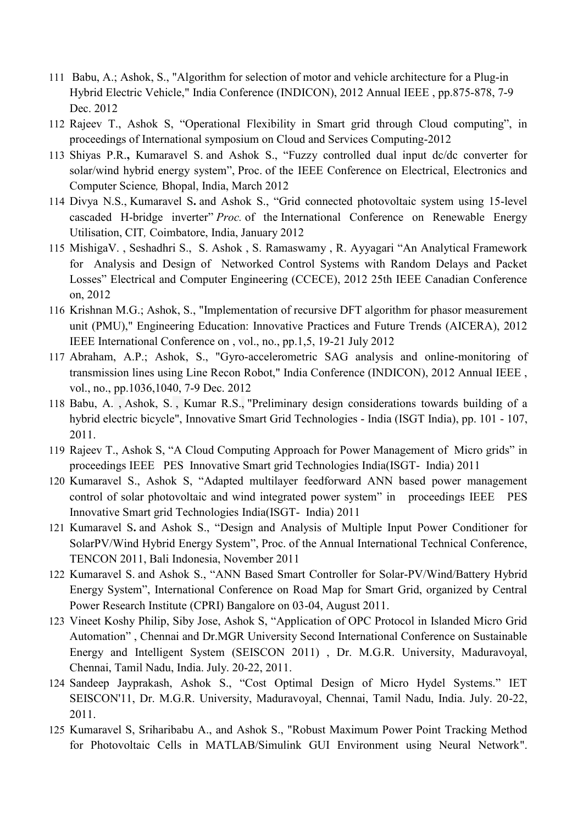- 111 Babu, A.; Ashok, S., "Algorithm for selection of motor and vehicle architecture for a Plug-in Hybrid Electric Vehicle," India Conference (INDICON), 2012 Annual IEEE , pp.875-878, 7-9 Dec. 2012
- 112 Rajeev T., Ashok S, "Operational Flexibility in Smart grid through Cloud computing", in proceedings of International symposium on Cloud and Services Computing-2012
- 113 Shiyas P.R., Kumaravel S. and Ashok S., "Fuzzy controlled dual input dc/dc converter for solar/wind hybrid energy system", Proc. of the IEEE Conference on Electrical, Electronics and Computer Science*,* Bhopal, India, March 2012
- 114 Divya N.S., Kumaravel S. and Ashok S., "Grid connected photovoltaic system using 15-level cascaded H-bridge inverter" *Proc.* of the International Conference on Renewable Energy Utilisation, CIT*,* Coimbatore, India, January 2012
- 115 MishigaV., Seshadhri S., S. Ashok, S. Ramaswamy, R. Ayyagari "An Analytical Framework for Analysis and Design of Networked Control Systems with Random Delays and Packet Losses" Electrical and Computer Engineering (CCECE), 2012 25th IEEE Canadian Conference on, 2012
- 116 Krishnan M.G.; Ashok, S., "Implementation of recursive DFT algorithm for phasor measurement unit (PMU)," Engineering Education: Innovative Practices and Future Trends (AICERA), 2012 IEEE International Conference on , vol., no., pp.1,5, 19-21 July 2012
- 117 Abraham, A.P.; Ashok, S., "Gyro-accelerometric SAG analysis and online-monitoring of transmission lines using Line Recon Robot," India Conference (INDICON), 2012 Annual IEEE , vol., no., pp.1036,1040, 7-9 Dec. 2012
- 118 [Babu, A.](http://ieeexplore.ieee.org/search/searchresult.jsp?searchWithin=p_Authors:.QT.Babu,%20A..QT.&searchWithin=p_Author_Ids:37563425800&newsearch=true#_blank) , [Ashok, S.](http://ieeexplore.ieee.org/search/searchresult.jsp?searchWithin=p_Authors:.QT.Ashok,%20S..QT.&searchWithin=p_Author_Ids:38242473600&newsearch=true#_blank) , [Kumar R.S.,](http://ieeexplore.ieee.org/search/searchresult.jsp?searchWithin=p_Authors:.QT.Kumar,%20R.S..QT.&searchWithin=p_Author_Ids:38236605000&newsearch=true#_blank) "Preliminary design considerations towards building of a hybrid electric bicycle", Innovative Smart Grid Technologies - India (ISGT India), pp. 101 - 107, 2011.
- 119 Rajeev T., Ashok S, "A Cloud Computing Approach for Power Management of Micro grids" in proceedings IEEE PES Innovative Smart grid Technologies India(ISGT- India) 2011
- 120 Kumaravel S., Ashok S, "Adapted multilayer feedforward ANN based power management control of solar photovoltaic and wind integrated power system" in proceedings IEEE PES Innovative Smart grid Technologies India(ISGT- India) 2011
- 121 Kumaravel S. and Ashok S., "Design and Analysis of Multiple Input Power Conditioner for SolarPV/Wind Hybrid Energy System", Proc. of the Annual International Technical Conference, TENCON 2011, Bali Indonesia, November 2011
- 122 Kumaravel S. and Ashok S., "ANN Based Smart Controller for Solar-PV/Wind/Battery Hybrid Energy System", International Conference on Road Map for Smart Grid, organized by Central Power Research Institute (CPRI) Bangalore on 03-04, August 2011.
- 123 Vineet Koshy Philip, Siby Jose, Ashok S, "Application of OPC Protocol in Islanded Micro Grid Automation", Chennai and Dr.MGR University Second International Conference on Sustainable Energy and Intelligent System (SEISCON 2011) , Dr. M.G.R. University, Maduravoyal, Chennai, Tamil Nadu, India. July. 20-22, 2011.
- 124 Sandeep Jayprakash, Ashok S., "Cost Optimal Design of Micro Hydel Systems." IET SEISCON'11, Dr. M.G.R. University, Maduravoyal, Chennai, Tamil Nadu, India. July. 20-22, 2011.
- 125 Kumaravel S, Sriharibabu A., and Ashok S., "Robust Maximum Power Point Tracking Method for Photovoltaic Cells in MATLAB/Simulink GUI Environment using Neural Network".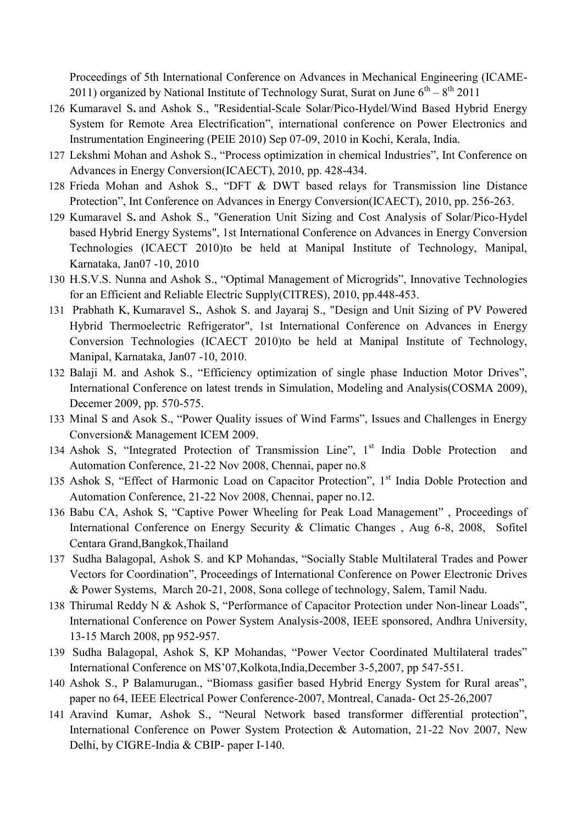Proceedings of 5th International Conference on Advances in Mechanical Engineering (ICAME-2011) organized by National Institute of Technology Surat, Surat on June  $6^{th} - 8^{th}$  2011

- 126 Kumaravel S**.** and Ashok S., "Residential-Scale Solar/Pico-Hydel/Wind Based Hybrid Energy System for Remote Area Electrification", international conference on Power Electronics and Instrumentation Engineering (PEIE 2010) Sep 07-09, 2010 in Kochi, Kerala, India.
- 127 Lekshmi Mohan and Ashok S., "Process optimization in chemical Industries", Int Conference on Advances in Energy Conversion(ICAECT), 2010, pp. 428-434.
- 128 Frieda Mohan and Ashok S., "DFT & DWT based relays for Transmission line Distance Protection", Int Conference on Advances in Energy Conversion(ICAECT), 2010, pp. 256-263.
- 129 Kumaravel S**.** and Ashok S., "Generation Unit Sizing and Cost Analysis of Solar/Pico-Hydel based Hybrid Energy Systems", 1st International Conference on Advances in Energy Conversion Technologies (ICAECT 2010)to be held at Manipal Institute of Technology, Manipal, Karnataka, Jan07 -10, 2010
- 130 H.S.V.S. Nunna and Ashok S., "Optimal Management of Microgrids", Innovative Technologies for an Efficient and Reliable Electric Supply(CITRES), 2010, pp.448-453.
- 131 Prabhath K, Kumaravel S**.**, Ashok S. and Jayaraj S., "Design and Unit Sizing of PV Powered Hybrid Thermoelectric Refrigerator", 1st International Conference on Advances in Energy Conversion Technologies (ICAECT 2010)to be held at Manipal Institute of Technology, Manipal, Karnataka, Jan07 -10, 2010.
- 132 Balaji M. and Ashok S., "Efficiency optimization of single phase Induction Motor Drives", International Conference on latest trends in Simulation, Modeling and Analysis(COSMA 2009), Decemer 2009, pp. 570-575.
- 133 Minal S and Asok S., "Power Quality issues of Wind Farms", Issues and Challenges in Energy Conversion& Management ICEM 2009.
- 134 Ashok S, "Integrated Protection of Transmission Line", 1<sup>st</sup> India Doble Protection and Automation Conference, 21-22 Nov 2008, Chennai, paper no.8
- 135 Ashok S, "Effect of Harmonic Load on Capacitor Protection", 1<sup>st</sup> India Doble Protection and Automation Conference, 21-22 Nov 2008, Chennai, paper no.12.
- 136 Babu CA, Ashok S, "Captive Power Wheeling for Peak Load Management", Proceedings of International Conference on Energy Security & Climatic Changes , Aug 6-8, 2008, Sofitel Centara Grand,Bangkok,Thailand
- 137 Sudha Balagopal, Ashok S. and KP Mohandas, "Socially Stable Multilateral Trades and Power Vectors for Coordination", Proceedings of International Conference on Power Electronic Drives & Power Systems, March 20-21, 2008, Sona college of technology, Salem, Tamil Nadu.
- 138 Thirumal Reddy N & Ashok S, "Performance of Capacitor Protection under Non-linear Loads", International Conference on Power System Analysis-2008, IEEE sponsored, Andhra University, 13-15 March 2008, pp 952-957.
- 139 Sudha Balagopal, Ashok S, KP Mohandas, "Power Vector Coordinated Multilateral trades" International Conference on MS'07,Kolkota,India,December 3-5,2007, pp 547-551.
- 140 Ashok S., P Balamurugan., "Biomass gasifier based Hybrid Energy System for Rural areas", paper no 64, IEEE Electrical Power Conference-2007, Montreal, Canada- Oct 25-26,2007
- 141 Aravind Kumar, Ashok S., "Neural Network based transformer differential protection", International Conference on Power System Protection & Automation, 21-22 Nov 2007, New Delhi, by CIGRE-India & CBIP- paper I-140.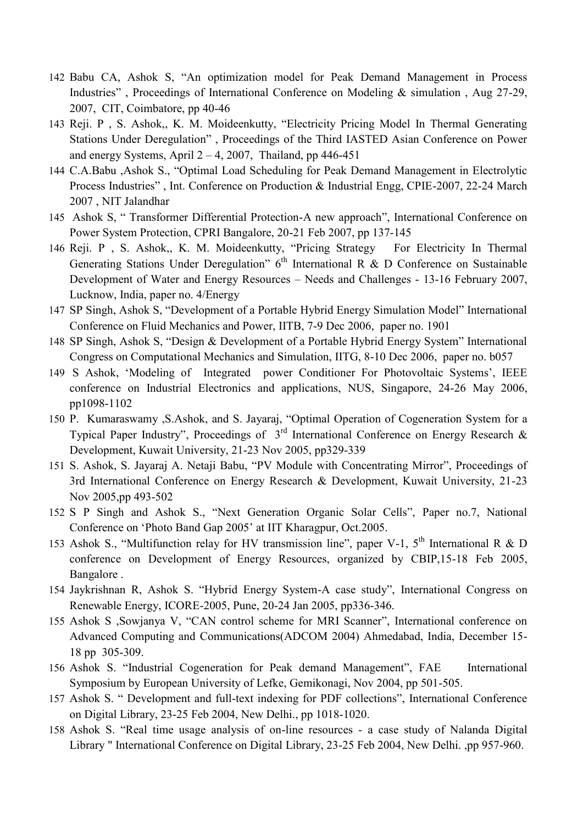- 142 Babu CA, Ashok S, "An optimization model for Peak Demand Management in Process Industries", Proceedings of International Conference on Modeling & simulation, Aug 27-29, 2007, CIT, Coimbatore, pp 40-46
- 143 Reji. P , S. Ashok,, K. M. Moideenkutty, "Electricity Pricing Model In Thermal Generating Stations Under Deregulation", Proceedings of the Third IASTED Asian Conference on Power and energy Systems, April  $2 - 4$ , 2007, Thailand, pp 446-451
- 144 C.A.Babu ,Ashok S., "Optimal Load Scheduling for Peak Demand Management in Electrolytic Process Industries", Int. Conference on Production & Industrial Engg, CPIE-2007, 22-24 March 2007 , NIT Jalandhar
- 145 Ashok S, "Transformer Differential Protection-A new approach", International Conference on Power System Protection, CPRI Bangalore, 20-21 Feb 2007, pp 137-145
- 146 Reji. P , S. Ashok,, K. M. Moideenkutty, "Pricing Strategy For Electricity In Thermal Generating Stations Under Deregulation"  $6<sup>th</sup>$  International R & D Conference on Sustainable Development of Water and Energy Resources – Needs and Challenges - 13-16 February 2007, Lucknow, India, paper no. 4/Energy
- 147 SP Singh, Ashok S, "Development of a Portable Hybrid Energy Simulation Model" International Conference on Fluid Mechanics and Power, IITB, 7-9 Dec 2006, paper no. 1901
- 148 SP Singh, Ashok S, "Design & Development of a Portable Hybrid Energy System" International Congress on Computational Mechanics and Simulation, IITG, 8-10 Dec 2006, paper no. b057
- 149 S Ashok, 'Modeling of Integrated power Conditioner For Photovoltaic Systems', IEEE conference on Industrial Electronics and applications, NUS, Singapore, 24-26 May 2006, pp1098-1102
- 150 P. Kumaraswamy , S.Ashok, and S. Jayaraj, "Optimal Operation of Cogeneration System for a Typical Paper Industry", Proceedings of  $3<sup>rd</sup>$  International Conference on Energy Research & Development, Kuwait University, 21-23 Nov 2005, pp329-339
- 151 S. Ashok, S. Jayaraj A. Netaji Babu, "PV Module with Concentrating Mirror", Proceedings of 3rd International Conference on Energy Research & Development, Kuwait University, 21-23 Nov 2005,pp 493-502
- 152 S P Singh and Ashok S., "Next Generation Organic Solar Cells", Paper no.7, National Conference on 'Photo Band Gap 2005' at IIT Kharagpur, Oct.2005.
- 153 Ashok S., "Multifunction relay for HV transmission line", paper V-1,  $5<sup>th</sup>$  International R & D conference on Development of Energy Resources, organized by CBIP,15-18 Feb 2005, Bangalore .
- 154 Jaykrishnan R, Ashok S. "Hybrid Energy System-A case study", International Congress on Renewable Energy, ICORE-2005, Pune, 20-24 Jan 2005, pp336-346.
- 155 Ashok S ,Sowjanya V, "CAN control scheme for MRI Scanner", International conference on Advanced Computing and Communications(ADCOM 2004) Ahmedabad, India, December 15- 18 pp 305-309.
- 156 Ashok S. "Industrial Cogeneration for Peak demand Management", FAE International Symposium by European University of Lefke, Gemikonagi, Nov 2004, pp 501-505.
- 157 Ashok S. " Development and full-text indexing for PDF collections", International Conference on Digital Library, 23-25 Feb 2004, New Delhi., pp 1018-1020.
- 158 Ashok S. "Real time usage analysis of on-line resources a case study of Nalanda Digital Library " International Conference on Digital Library, 23-25 Feb 2004, New Delhi. ,pp 957-960.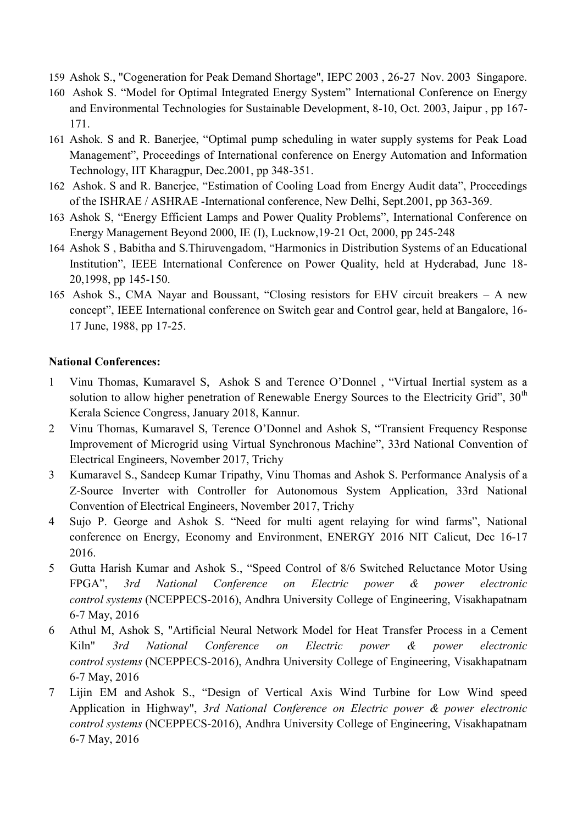- 159 Ashok S., "Cogeneration for Peak Demand Shortage", IEPC 2003 , 26-27 Nov. 2003 Singapore.
- 160 Ashok S. "Model for Optimal Integrated Energy System" International Conference on Energy and Environmental Technologies for Sustainable Development, 8-10, Oct. 2003, Jaipur , pp 167- 171.
- 161 Ashok. S and R. Banerjee, "Optimal pump scheduling in water supply systems for Peak Load Management", Proceedings of International conference on Energy Automation and Information Technology, IIT Kharagpur, Dec.2001, pp 348-351.
- 162 Ashok. S and R. Banerjee, "Estimation of Cooling Load from Energy Audit data", Proceedings of the ISHRAE / ASHRAE -International conference, New Delhi, Sept.2001, pp 363-369.
- 163 Ashok S, "Energy Efficient Lamps and Power Quality Problems", International Conference on Energy Management Beyond 2000, IE (I), Lucknow,19-21 Oct, 2000, pp 245-248
- 164 Ashok S, Babitha and S.Thiruvengadom, "Harmonics in Distribution Systems of an Educational Institution", IEEE International Conference on Power Quality, held at Hyderabad, June 18-20,1998, pp 145-150.
- 165 Ashok S., CMA Nayar and Boussant, "Closing resistors for EHV circuit breakers A new concept", IEEE International conference on Switch gear and Control gear, held at Bangalore, 16-17 June, 1988, pp 17-25.

## **National Conferences:**

- 1 Vinu Thomas, Kumaravel S, Ashok S and Terence O'Donnel, "Virtual Inertial system as a solution to allow higher penetration of Renewable Energy Sources to the Electricity Grid",  $30<sup>th</sup>$ Kerala Science Congress, January 2018, Kannur.
- 2 Vinu Thomas, Kumaravel S, Terence O'Donnel and Ashok S, "Transient Frequency Response Improvement of Microgrid using Virtual Synchronous Machine", 33rd National Convention of Electrical Engineers, November 2017, Trichy
- 3 Kumaravel S., Sandeep Kumar Tripathy, Vinu Thomas and Ashok S. Performance Analysis of a Z-Source Inverter with Controller for Autonomous System Application, 33rd National Convention of Electrical Engineers, November 2017, Trichy
- 4 Sujo P. George and Ashok S. "Need for multi agent relaying for wind farms", National conference on Energy, Economy and Environment, ENERGY 2016 NIT Calicut, Dec 16-17 2016.
- 5 Gutta Harish Kumar and Ashok S., "Speed Control of 8/6 Switched Reluctance Motor Using FPGA‖, *3rd National Conference on Electric power & power electronic control systems* (NCEPPECS-2016), Andhra University College of Engineering, Visakhapatnam 6-7 May, 2016
- 6 Athul M, Ashok S, "Artificial Neural Network Model for Heat Transfer Process in a Cement Kiln" *3rd National Conference on Electric power & power electronic control systems* (NCEPPECS-2016), Andhra University College of Engineering, Visakhapatnam 6-7 May, 2016
- 7 Lijin EM and Ashok S., "Design of Vertical Axis Wind Turbine for Low Wind speed Application in Highway", *3rd National Conference on Electric power & power electronic control systems* (NCEPPECS-2016), Andhra University College of Engineering, Visakhapatnam 6-7 May, 2016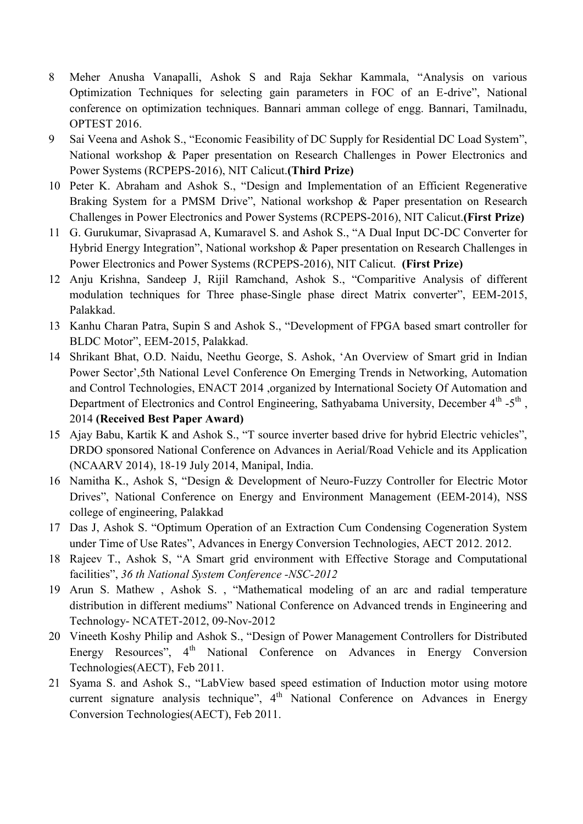- 8 Meher Anusha Vanapalli, Ashok S and Raja Sekhar Kammala, "Analysis on various Optimization Techniques for selecting gain parameters in FOC of an E-drive", National conference on optimization techniques. Bannari amman college of engg. Bannari, Tamilnadu, OPTEST 2016.
- 9 Sai Veena and Ashok S., "Economic Feasibility of DC Supply for Residential DC Load System", National workshop & Paper presentation on Research Challenges in Power Electronics and Power Systems (RCPEPS-2016), NIT Calicut.**(Third Prize)**
- 10 Peter K. Abraham and Ashok S., "Design and Implementation of an Efficient Regenerative Braking System for a PMSM Drive", National workshop & Paper presentation on Research Challenges in Power Electronics and Power Systems (RCPEPS-2016), NIT Calicut.**(First Prize)**
- 11 G. Gurukumar, Sivaprasad A, Kumaravel S. and Ashok S., "A Dual Input DC-DC Converter for Hybrid Energy Integration", National workshop & Paper presentation on Research Challenges in Power Electronics and Power Systems (RCPEPS-2016), NIT Calicut. **(First Prize)**
- 12 Anju Krishna, Sandeep J, Rijil Ramchand, Ashok S., "Comparitive Analysis of different modulation techniques for Three phase-Single phase direct Matrix converter", EEM-2015, Palakkad.
- 13 Kanhu Charan Patra, Supin S and Ashok S., "Development of FPGA based smart controller for BLDC Motor", EEM-2015, Palakkad.
- 14 Shrikant Bhat, O.D. Naidu, Neethu George, S. Ashok, ‗An Overview of Smart grid in Indian Power Sector',5th National Level Conference On Emerging Trends in Networking, Automation and Control Technologies, ENACT 2014 ,organized by International Society Of Automation and Department of Electronics and Control Engineering, Sathyabama University, December 4<sup>th</sup> -5<sup>th</sup>, 2014 **(Received Best Paper Award)**
- 15 Ajay Babu, Kartik K and Ashok S., "T source inverter based drive for hybrid Electric vehicles", DRDO sponsored National Conference on Advances in Aerial/Road Vehicle and its Application (NCAARV 2014), 18-19 July 2014, Manipal, India.
- 16 Namitha K., Ashok S, "Design & Development of Neuro-Fuzzy Controller for Electric Motor Drives", National Conference on Energy and Environment Management (EEM-2014), NSS college of engineering, Palakkad
- 17 Das J, Ashok S. "Optimum Operation of an Extraction Cum Condensing Cogeneration System under Time of Use Rates", Advances in Energy Conversion Technologies, AECT 2012. 2012.
- 18 Rajeev T., Ashok S, "A Smart grid environment with Effective Storage and Computational facilities", 36 th National System Conference -NSC-2012
- 19 Arun S. Mathew, Ashok S., "Mathematical modeling of an arc and radial temperature distribution in different mediums" National Conference on Advanced trends in Engineering and Technology- NCATET-2012, 09-Nov-2012
- 20 Vineeth Koshy Philip and Ashok S., "Design of Power Management Controllers for Distributed Energy Resources", 4<sup>th</sup> National Conference on Advances in Energy Conversion Technologies(AECT), Feb 2011.
- 21 Syama S. and Ashok S., "LabView based speed estimation of Induction motor using motore current signature analysis technique",  $4<sup>th</sup>$  National Conference on Advances in Energy Conversion Technologies(AECT), Feb 2011.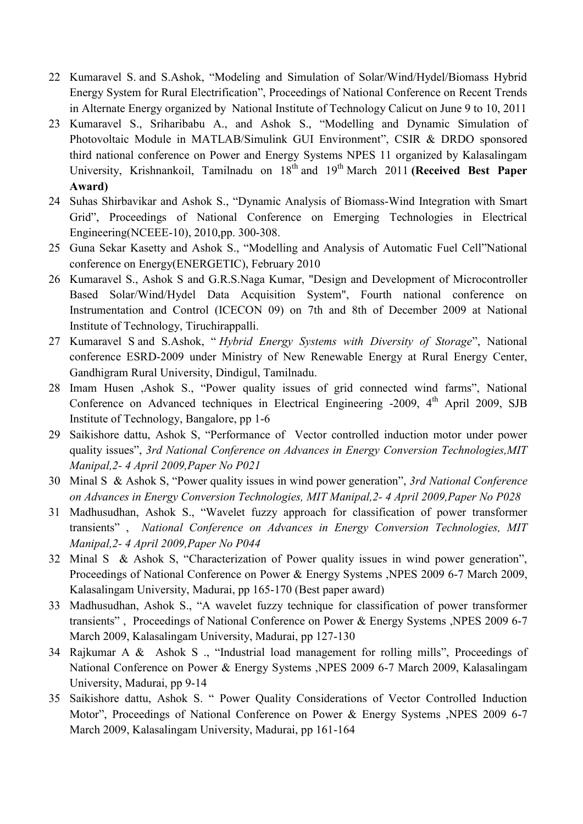- 22 Kumaravel S. and S.Ashok, "Modeling and Simulation of Solar/Wind/Hydel/Biomass Hybrid Energy System for Rural Electrification", Proceedings of National Conference on Recent Trends in Alternate Energy organized by National Institute of Technology Calicut on June 9 to 10, 2011
- 23 Kumaravel S., Sriharibabu A., and Ashok S., "Modelling and Dynamic Simulation of Photovoltaic Module in MATLAB/Simulink GUI Environment", CSIR & DRDO sponsored third national conference on Power and Energy Systems NPES 11 organized by Kalasalingam University, Krishnankoil, Tamilnadu on 18<sup>th</sup> and 19<sup>th</sup> March 2011 **(Received Best Paper Award)**
- 24 Suhas Shirbavikar and Ashok S., "Dynamic Analysis of Biomass-Wind Integration with Smart Grid", Proceedings of National Conference on Emerging Technologies in Electrical Engineering(NCEEE-10), 2010,pp. 300-308.
- 25 Guna Sekar Kasetty and Ashok S., "Modelling and Analysis of Automatic Fuel Cell"National conference on Energy(ENERGETIC), February 2010
- 26 Kumaravel S., Ashok S and G.R.S.Naga Kumar, "Design and Development of Microcontroller Based Solar/Wind/Hydel Data Acquisition System", Fourth national conference on Instrumentation and Control (ICECON 09) on 7th and 8th of December 2009 at National Institute of Technology, Tiruchirappalli.
- 27 Kumaravel S and S.Ashok, "*Hybrid Energy Systems with Diversity of Storage*", National conference ESRD-2009 under Ministry of New Renewable Energy at Rural Energy Center, Gandhigram Rural University, Dindigul, Tamilnadu.
- 28 Imam Husen ,Ashok S., "Power quality issues of grid connected wind farms". National Conference on Advanced techniques in Electrical Engineering  $-2009$ ,  $4<sup>th</sup>$  April 2009, SJB Institute of Technology, Bangalore, pp 1-6
- 29 Saikishore dattu, Ashok S, "Performance of Vector controlled induction motor under power quality issues", 3rd National Conference on Advances in Energy Conversion Technologies, MIT *Manipal,2- 4 April 2009,Paper No P021*
- 30 Minal S & Ashok S, "Power quality issues in wind power generation", 3rd National Conference *on Advances in Energy Conversion Technologies, MIT Manipal,2- 4 April 2009,Paper No P028*
- 31 Madhusudhan, Ashok S., "Wavelet fuzzy approach for classification of power transformer transients‖ , *National Conference on Advances in Energy Conversion Technologies, MIT Manipal,2- 4 April 2009,Paper No P044*
- 32 Minal S & Ashok S, "Characterization of Power quality issues in wind power generation", Proceedings of National Conference on Power & Energy Systems ,NPES 2009 6-7 March 2009, Kalasalingam University, Madurai, pp 165-170 (Best paper award)
- 33 Madhusudhan, Ashok S., "A wavelet fuzzy technique for classification of power transformer transients", Proceedings of National Conference on Power & Energy Systems ,NPES 2009 6-7 March 2009, Kalasalingam University, Madurai, pp 127-130
- 34 Rajkumar A & Ashok S ., "Industrial load management for rolling mills", Proceedings of National Conference on Power & Energy Systems ,NPES 2009 6-7 March 2009, Kalasalingam University, Madurai, pp 9-14
- 35 Saikishore dattu, Ashok S. " Power Quality Considerations of Vector Controlled Induction Motor", Proceedings of National Conference on Power & Energy Systems ,NPES 2009 6-7 March 2009, Kalasalingam University, Madurai, pp 161-164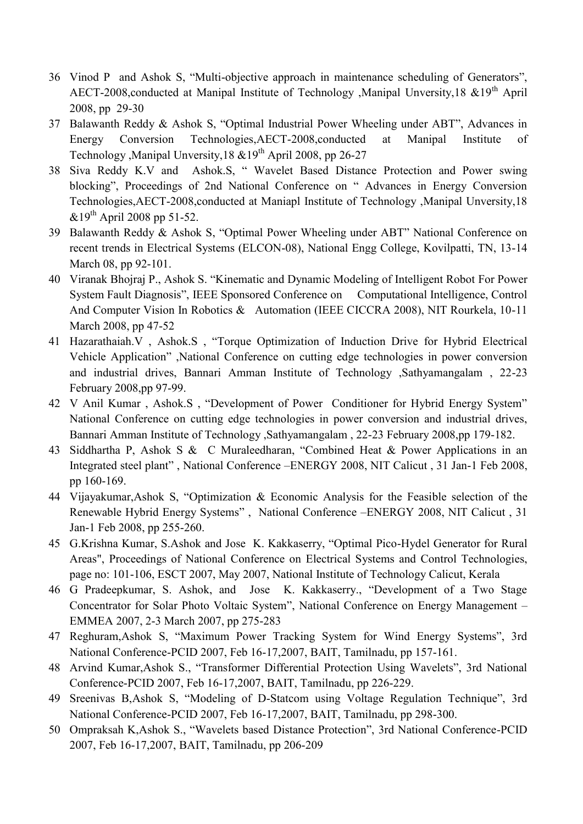- 36 Vinod P and Ashok S, "Multi-objective approach in maintenance scheduling of Generators", AECT-2008,conducted at Manipal Institute of Technology ,Manipal Unversity,18 &19<sup>th</sup> April 2008, pp 29-30
- 37 Balawanth Reddy & Ashok S, "Optimal Industrial Power Wheeling under ABT", Advances in Energy Conversion Technologies,AECT-2008,conducted at Manipal Institute of Technology ,Manipal Unversity,  $18 \& 19^{th}$  April 2008, pp 26-27
- 38 Siva Reddy K.V and Ashok.S, "Wavelet Based Distance Protection and Power swing blocking", Proceedings of 2nd National Conference on "Advances in Energy Conversion Technologies,AECT-2008,conducted at Maniapl Institute of Technology ,Manipal Unversity,18  $\&19^{th}$  April 2008 pp 51-52.
- 39 Balawanth Reddy & Ashok S, "Optimal Power Wheeling under ABT" National Conference on recent trends in Electrical Systems (ELCON-08), National Engg College, Kovilpatti, TN, 13-14 March 08, pp 92-101.
- 40 Viranak Bhojraj P., Ashok S. "Kinematic and Dynamic Modeling of Intelligent Robot For Power System Fault Diagnosis", IEEE Sponsored Conference on Computational Intelligence, Control And Computer Vision In Robotics & Automation (IEEE CICCRA 2008), NIT Rourkela, 10-11 March 2008, pp 47-52
- 41 Hazarathaiah. V, Ashok. S, "Torque Optimization of Induction Drive for Hybrid Electrical Vehicle Application", National Conference on cutting edge technologies in power conversion and industrial drives, Bannari Amman Institute of Technology ,Sathyamangalam , 22-23 February 2008,pp 97-99.
- 42 V Anil Kumar, Ashok.S, "Development of Power Conditioner for Hybrid Energy System" National Conference on cutting edge technologies in power conversion and industrial drives, Bannari Amman Institute of Technology ,Sathyamangalam , 22-23 February 2008,pp 179-182.
- 43 Siddhartha P, Ashok S & C Muraleedharan, "Combined Heat & Power Applications in an Integrated steel plant", National Conference –ENERGY 2008, NIT Calicut, 31 Jan-1 Feb 2008, pp 160-169.
- 44 Vijayakumar, Ashok S, "Optimization & Economic Analysis for the Feasible selection of the Renewable Hybrid Energy Systems", National Conference –ENERGY 2008, NIT Calicut, 31 Jan-1 Feb 2008, pp 255-260.
- 45 G.Krishna Kumar, S.Ashok and Jose K. Kakkaserry, "Optimal Pico-Hydel Generator for Rural Areas", Proceedings of National Conference on Electrical Systems and Control Technologies, page no: 101-106, ESCT 2007, May 2007, National Institute of Technology Calicut, Kerala
- 46 G Pradeepkumar, S. Ashok, and Jose K. Kakkaserry., "Development of a Two Stage Concentrator for Solar Photo Voltaic System", National Conference on Energy Management – EMMEA 2007, 2-3 March 2007, pp 275-283
- 47 Reghuram,Ashok S, "Maximum Power Tracking System for Wind Energy Systems", 3rd National Conference-PCID 2007, Feb 16-17,2007, BAIT, Tamilnadu, pp 157-161.
- 48 Arvind Kumar, Ashok S., "Transformer Differential Protection Using Wavelets", 3rd National Conference-PCID 2007, Feb 16-17,2007, BAIT, Tamilnadu, pp 226-229.
- 49 Sreenivas B,Ashok S, "Modeling of D-Statcom using Voltage Regulation Technique", 3rd National Conference-PCID 2007, Feb 16-17,2007, BAIT, Tamilnadu, pp 298-300.
- 50 Ompraksah K,Ashok S., "Wavelets based Distance Protection", 3rd National Conference-PCID 2007, Feb 16-17,2007, BAIT, Tamilnadu, pp 206-209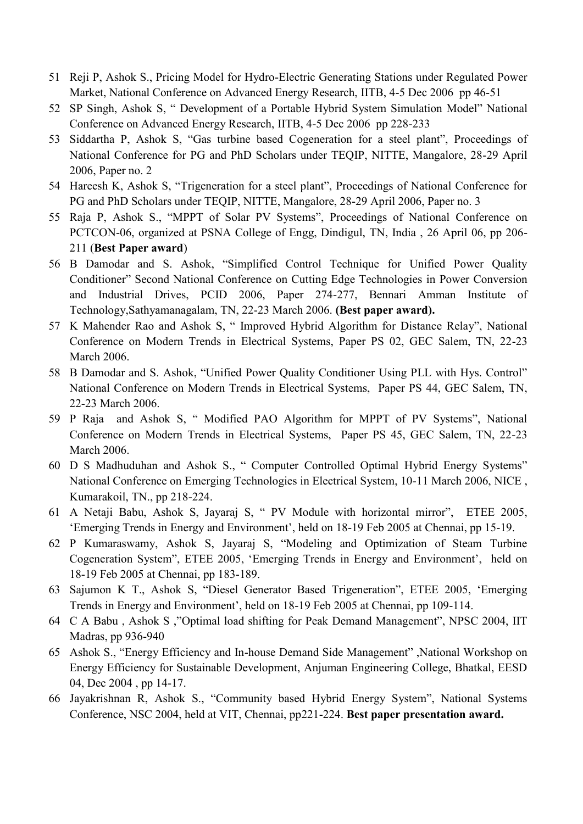- 51 Reji P, Ashok S., Pricing Model for Hydro-Electric Generating Stations under Regulated Power Market, National Conference on Advanced Energy Research, IITB, 4-5 Dec 2006 pp 46-51
- 52 SP Singh, Ashok S, "Development of a Portable Hybrid System Simulation Model" National Conference on Advanced Energy Research, IITB, 4-5 Dec 2006 pp 228-233
- 53 Siddartha P, Ashok S, "Gas turbine based Cogeneration for a steel plant", Proceedings of National Conference for PG and PhD Scholars under TEQIP, NITTE, Mangalore, 28-29 April 2006, Paper no. 2
- 54 Hareesh K, Ashok S, "Trigeneration for a steel plant", Proceedings of National Conference for PG and PhD Scholars under TEQIP, NITTE, Mangalore, 28-29 April 2006, Paper no. 3
- 55 Raja P, Ashok S., "MPPT of Solar PV Systems", Proceedings of National Conference on PCTCON-06, organized at PSNA College of Engg, Dindigul, TN, India , 26 April 06, pp 206- 211 (**Best Paper award**)
- 56 B Damodar and S. Ashok, "Simplified Control Technique for Unified Power Quality Conditioner" Second National Conference on Cutting Edge Technologies in Power Conversion and Industrial Drives, PCID 2006, Paper 274-277, Bennari Amman Institute of Technology,Sathyamanagalam, TN, 22-23 March 2006. **(Best paper award).**
- 57 K Mahender Rao and Ashok S, "Improved Hybrid Algorithm for Distance Relay", National Conference on Modern Trends in Electrical Systems, Paper PS 02, GEC Salem, TN, 22-23 March 2006.
- 58 B Damodar and S. Ashok, "Unified Power Quality Conditioner Using PLL with Hys. Control" National Conference on Modern Trends in Electrical Systems, Paper PS 44, GEC Salem, TN, 22-23 March 2006.
- 59 P Raja and Ashok S, "Modified PAO Algorithm for MPPT of PV Systems", National Conference on Modern Trends in Electrical Systems, Paper PS 45, GEC Salem, TN, 22-23 March 2006.
- 60 D S Madhuduhan and Ashok S., "Computer Controlled Optimal Hybrid Energy Systems" National Conference on Emerging Technologies in Electrical System, 10-11 March 2006, NICE , Kumarakoil, TN., pp 218-224.
- 61 A Netaji Babu, Ashok S, Jayaraj S, "PV Module with horizontal mirror", ETEE 2005, ‗Emerging Trends in Energy and Environment', held on 18-19 Feb 2005 at Chennai, pp 15-19.
- 62 P Kumaraswamy, Ashok S, Jayaraj S, "Modeling and Optimization of Steam Turbine Cogeneration System", ETEE 2005, 'Emerging Trends in Energy and Environment', held on 18-19 Feb 2005 at Chennai, pp 183-189.
- 63 Sajumon K T., Ashok S, "Diesel Generator Based Trigeneration", ETEE 2005, 'Emerging Trends in Energy and Environment', held on 18-19 Feb 2005 at Chennai, pp 109-114.
- 64 C A Babu, Ashok S, "Optimal load shifting for Peak Demand Management", NPSC 2004, IIT Madras, pp 936-940
- 65 Ashok S., "Energy Efficiency and In-house Demand Side Management", National Workshop on Energy Efficiency for Sustainable Development, Anjuman Engineering College, Bhatkal, EESD 04, Dec 2004 , pp 14-17.
- 66 Jayakrishnan R, Ashok S., "Community based Hybrid Energy System", National Systems Conference, NSC 2004, held at VIT, Chennai, pp221-224. **Best paper presentation award.**